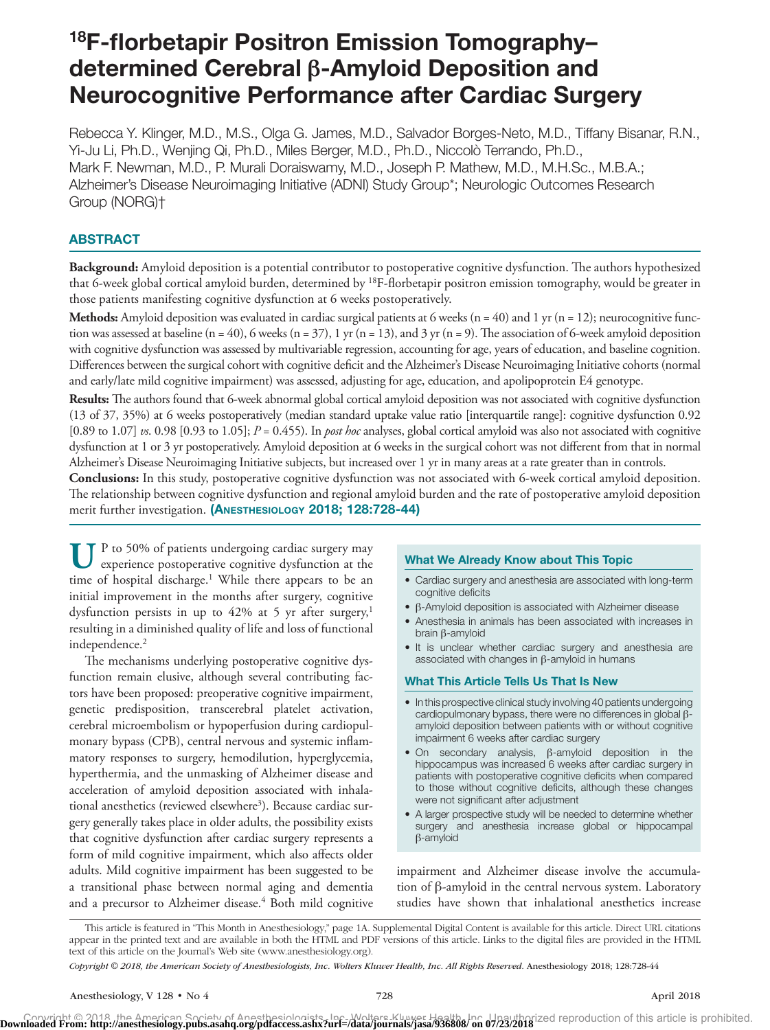# 18F-florbetapir Positron Emission Tomography– determined Cerebral **β**-Amyloid Deposition and Neurocognitive Performance after Cardiac Surgery

Rebecca Y. Klinger, M.D., M.S., Olga G. James, M.D., Salvador Borges-Neto, M.D., Tiffany Bisanar, R.N., Yi-Ju Li, Ph.D., Wenjing Qi, Ph.D., Miles Berger, M.D., Ph.D., Niccolò Terrando, Ph.D., Mark F. Newman, M.D., P. Murali Doraiswamy, M.D., Joseph P. Mathew, M.D., M.H.Sc., M.B.A.; Alzheimer's Disease Neuroimaging Initiative (ADNI) Study Group\*; Neurologic Outcomes Research Group (NORG)†

# **ABSTRACT**

**Background:** Amyloid deposition is a potential contributor to postoperative cognitive dysfunction. The authors hypothesized that 6-week global cortical amyloid burden, determined by <sup>18</sup>F-florbetapir positron emission tomography, would be greater in those patients manifesting cognitive dysfunction at 6 weeks postoperatively.

**Methods:** Amyloid deposition was evaluated in cardiac surgical patients at 6 weeks  $(n = 40)$  and 1 yr  $(n = 12)$ ; neurocognitive function was assessed at baseline (n = 40), 6 weeks (n = 37), 1 yr (n = 13), and 3 yr (n = 9). The association of 6-week amyloid deposition with cognitive dysfunction was assessed by multivariable regression, accounting for age, years of education, and baseline cognition. Differences between the surgical cohort with cognitive deficit and the Alzheimer's Disease Neuroimaging Initiative cohorts (normal and early/late mild cognitive impairment) was assessed, adjusting for age, education, and apolipoprotein E4 genotype.

**Results:** The authors found that 6-week abnormal global cortical amyloid deposition was not associated with cognitive dysfunction (13 of 37, 35%) at 6 weeks postoperatively (median standard uptake value ratio [interquartile range]: cognitive dysfunction 0.92 [0.89 to 1.07] *vs*. 0.98 [0.93 to 1.05]; *P* = 0.455). In *post hoc* analyses, global cortical amyloid was also not associated with cognitive dysfunction at 1 or 3 yr postoperatively. Amyloid deposition at 6 weeks in the surgical cohort was not different from that in normal Alzheimer's Disease Neuroimaging Initiative subjects, but increased over 1 yr in many areas at a rate greater than in controls.

**Conclusions:** In this study, postoperative cognitive dysfunction was not associated with 6-week cortical amyloid deposition. The relationship between cognitive dysfunction and regional amyloid burden and the rate of postoperative amyloid deposition merit further investigation. (ANESTHESIOLOGY 2018; 128:728-44)

UP to 50% of patients undergoing cardiac surgery may experience postoperative cognitive dysfunction at the time of hospital discharge.<sup>1</sup> While there appears to be an initial improvement in the months after surgery, cognitive dysfunction persists in up to 42% at 5 yr after surgery,<sup>1</sup> resulting in a diminished quality of life and loss of functional independence.<sup>2</sup>

The mechanisms underlying postoperative cognitive dysfunction remain elusive, although several contributing factors have been proposed: preoperative cognitive impairment, genetic predisposition, transcerebral platelet activation, cerebral microembolism or hypoperfusion during cardiopulmonary bypass (CPB), central nervous and systemic inflammatory responses to surgery, hemodilution, hyperglycemia, hyperthermia, and the unmasking of Alzheimer disease and acceleration of amyloid deposition associated with inhalational anesthetics (reviewed elsewhere<sup>3</sup>). Because cardiac surgery generally takes place in older adults, the possibility exists that cognitive dysfunction after cardiac surgery represents a form of mild cognitive impairment, which also affects older adults. Mild cognitive impairment has been suggested to be a transitional phase between normal aging and dementia and a precursor to Alzheimer disease.<sup>4</sup> Both mild cognitive

#### What We Already Know about This Topic

- Cardiac surgery and anesthesia are associated with long-term cognitive deficits
- β-Amyloid deposition is associated with Alzheimer disease
- Anesthesia in animals has been associated with increases in brain β-amyloid
- It is unclear whether cardiac surgery and anesthesia are associated with changes in β-amyloid in humans

#### What This Article Tells Us That Is New

- In this prospective clinical study involving 40 patients undergoing cardiopulmonary bypass, there were no differences in global βamyloid deposition between patients with or without cognitive impairment 6 weeks after cardiac surgery
- On secondary analysis, β-amyloid deposition in the hippocampus was increased 6 weeks after cardiac surgery in patients with postoperative cognitive deficits when compared to those without cognitive deficits, although these changes were not significant after adjustment
- A larger prospective study will be needed to determine whether surgery and anesthesia increase global or hippocampal β-amyloid

impairment and Alzheimer disease involve the accumulation of β-amyloid in the central nervous system. Laboratory studies have shown that inhalational anesthetics increase

This article is featured in "This Month in Anesthesiology," page 1A. Supplemental Digital Content is available for this article. Direct URL citations appear in the printed text and are available in both the HTML and PDF versions of this article. Links to the digital files are provided in the HTML text of this article on the Journal's Web site (<www.anesthesiology.org>).

*Copyright © 2018, the American Society of Anesthesiologists, Inc. Wolters Kluwer Health, Inc. All Rights Reserved.* Anesthesiology 2018; 128:728-44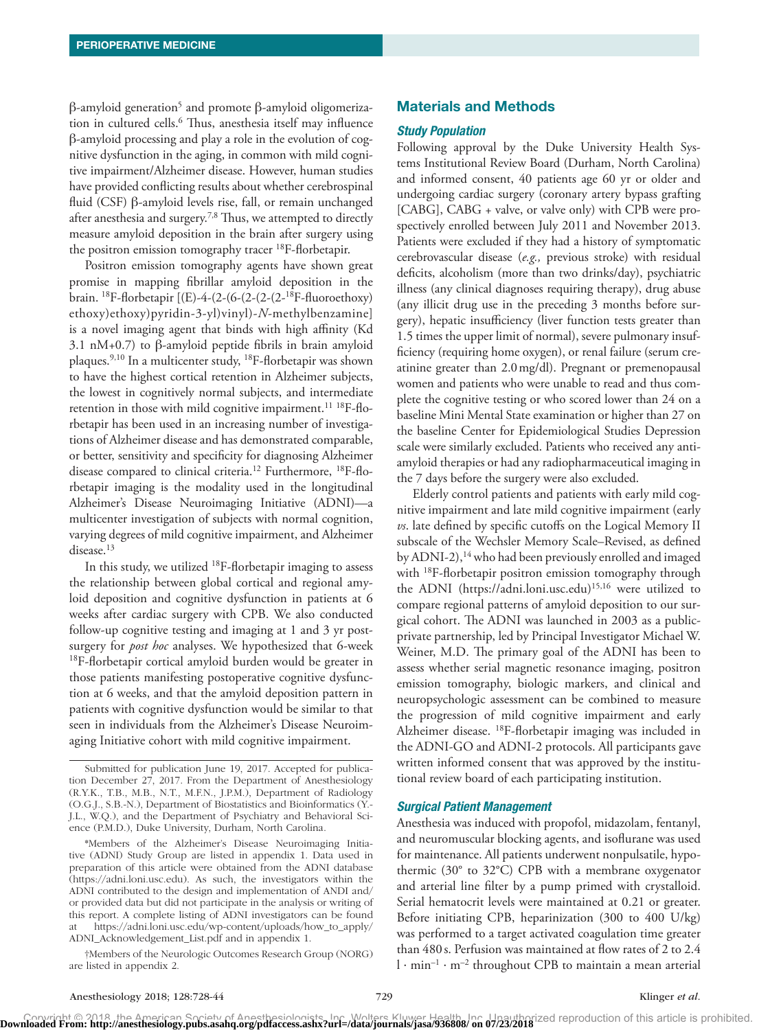β-amyloid generation<sup>5</sup> and promote β-amyloid oligomerization in cultured cells.<sup>6</sup> Thus, anesthesia itself may influence β-amyloid processing and play a role in the evolution of cognitive dysfunction in the aging, in common with mild cognitive impairment/Alzheimer disease. However, human studies have provided conflicting results about whether cerebrospinal fluid (CSF) β-amyloid levels rise, fall, or remain unchanged after anesthesia and surgery.<sup>7,8</sup> Thus, we attempted to directly measure amyloid deposition in the brain after surgery using the positron emission tomography tracer <sup>18</sup>F-florbetapir.

Positron emission tomography agents have shown great promise in mapping fibrillar amyloid deposition in the brain. 18F-florbetapir [(E)-4-(2-(6-(2-(2-(2-18F-fluoroethoxy) ethoxy)ethoxy)pyridin-3-yl)vinyl)-*N*-methylbenzamine] is a novel imaging agent that binds with high affinity (Kd 3.1 nM+0.7) to β-amyloid peptide fibrils in brain amyloid plaques.9,10 In a multicenter study, 18F-florbetapir was shown to have the highest cortical retention in Alzheimer subjects, the lowest in cognitively normal subjects, and intermediate retention in those with mild cognitive impairment.<sup>11 18</sup>F-florbetapir has been used in an increasing number of investigations of Alzheimer disease and has demonstrated comparable, or better, sensitivity and specificity for diagnosing Alzheimer disease compared to clinical criteria.12 Furthermore, 18F-florbetapir imaging is the modality used in the longitudinal Alzheimer's Disease Neuroimaging Initiative (ADNI)—a multicenter investigation of subjects with normal cognition, varying degrees of mild cognitive impairment, and Alzheimer disease.<sup>13</sup>

In this study, we utilized 18F-florbetapir imaging to assess the relationship between global cortical and regional amyloid deposition and cognitive dysfunction in patients at 6 weeks after cardiac surgery with CPB. We also conducted follow-up cognitive testing and imaging at 1 and 3 yr postsurgery for *post hoc* analyses. We hypothesized that 6-week 18F-florbetapir cortical amyloid burden would be greater in those patients manifesting postoperative cognitive dysfunction at 6 weeks, and that the amyloid deposition pattern in patients with cognitive dysfunction would be similar to that seen in individuals from the Alzheimer's Disease Neuroimaging Initiative cohort with mild cognitive impairment.

## Materials and Methods

#### *Study Population*

Following approval by the Duke University Health Systems Institutional Review Board (Durham, North Carolina) and informed consent, 40 patients age 60 yr or older and undergoing cardiac surgery (coronary artery bypass grafting [CABG], CABG + valve, or valve only) with CPB were prospectively enrolled between July 2011 and November 2013. Patients were excluded if they had a history of symptomatic cerebrovascular disease (*e.g.,* previous stroke) with residual deficits, alcoholism (more than two drinks/day), psychiatric illness (any clinical diagnoses requiring therapy), drug abuse (any illicit drug use in the preceding 3 months before surgery), hepatic insufficiency (liver function tests greater than 1.5 times the upper limit of normal), severe pulmonary insufficiency (requiring home oxygen), or renal failure (serum creatinine greater than 2.0mg/dl). Pregnant or premenopausal women and patients who were unable to read and thus complete the cognitive testing or who scored lower than 24 on a baseline Mini Mental State examination or higher than 27 on the baseline Center for Epidemiological Studies Depression scale were similarly excluded. Patients who received any antiamyloid therapies or had any radiopharmaceutical imaging in the 7 days before the surgery were also excluded.

Elderly control patients and patients with early mild cognitive impairment and late mild cognitive impairment (early *vs*. late defined by specific cutoffs on the Logical Memory II subscale of the Wechsler Memory Scale–Revised, as defined by ADNI-2),<sup>14</sup> who had been previously enrolled and imaged with <sup>18</sup>F-florbetapir positron emission tomography through the ADNI (<https://adni.loni.usc.edu>)15,16 were utilized to compare regional patterns of amyloid deposition to our surgical cohort. The ADNI was launched in 2003 as a publicprivate partnership, led by Principal Investigator Michael W. Weiner, M.D. The primary goal of the ADNI has been to assess whether serial magnetic resonance imaging, positron emission tomography, biologic markers, and clinical and neuropsychologic assessment can be combined to measure the progression of mild cognitive impairment and early Alzheimer disease. 18F-florbetapir imaging was included in the ADNI-GO and ADNI-2 protocols. All participants gave written informed consent that was approved by the institutional review board of each participating institution.

#### *Surgical Patient Management*

Anesthesia was induced with propofol, midazolam, fentanyl, and neuromuscular blocking agents, and isoflurane was used for maintenance. All patients underwent nonpulsatile, hypothermic (30° to 32°C) CPB with a membrane oxygenator and arterial line filter by a pump primed with crystalloid. Serial hematocrit levels were maintained at 0.21 or greater. Before initiating CPB, heparinization (300 to 400 U/kg) was performed to a target activated coagulation time greater than 480 s. Perfusion was maintained at flow rates of 2 to 2.4  $l \cdot min^{-1} \cdot m^{-2}$  throughout CPB to maintain a mean arterial

Submitted for publication June 19, 2017. Accepted for publication December 27, 2017. From the Department of Anesthesiology (R.Y.K., T.B., M.B., N.T., M.F.N., J.P.M.), Department of Radiology (O.G.J., S.B.-N.), Department of Biostatistics and Bioinformatics (Y.- J.L., W.Q.), and the Department of Psychiatry and Behavioral Science (P.M.D.), Duke University, Durham, North Carolina.

<sup>\*</sup>Members of the Alzheimer's Disease Neuroimaging Initiative (ADNI) Study Group are listed in appendix 1. Data used in preparation of this article were obtained from the ADNI database [\(https://adni.loni.usc.edu](https://adni.loni.usc.edu)). As such, the investigators within the ADNI contributed to the design and implementation of ANDI and/ or provided data but did not participate in the analysis or writing of this report. A complete listing of ADNI investigators can be found at [https://adni.loni.usc.edu/wp-content/uploads/how\\_to\\_apply/](https://adni.loni.usc.edu/wp-content/uploads/how_to_apply/ADNI_Acknowledgement_List.pdf) [ADNI\\_Acknowledgement\\_List.pdf](https://adni.loni.usc.edu/wp-content/uploads/how_to_apply/ADNI_Acknowledgement_List.pdf) and in appendix 1.

<sup>†</sup>Members of the Neurologic Outcomes Research Group (NORG) are listed in appendix 2.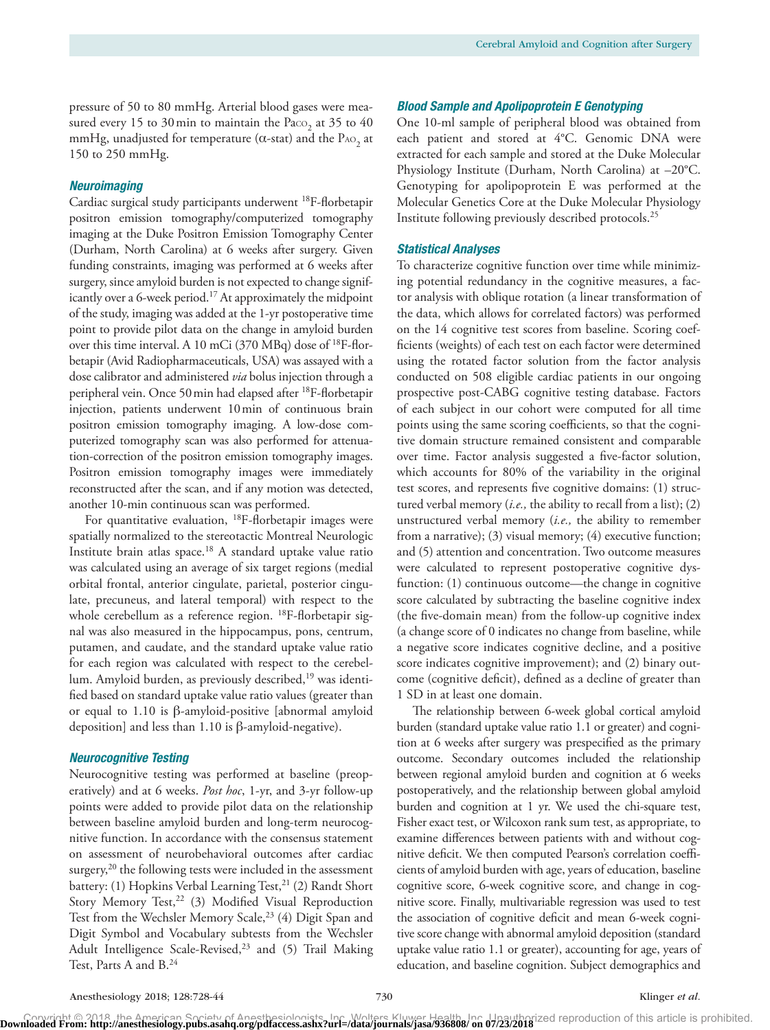pressure of 50 to 80 mmHg. Arterial blood gases were measured every 15 to 30 min to maintain the Paco<sub>2</sub> at 35 to 40 mmHg, unadjusted for temperature ( $\alpha$ -stat) and the PAO<sub>2</sub> at 150 to 250 mmHg.

#### *Neuroimaging*

Cardiac surgical study participants underwent 18F-florbetapir positron emission tomography/computerized tomography imaging at the Duke Positron Emission Tomography Center (Durham, North Carolina) at 6 weeks after surgery. Given funding constraints, imaging was performed at 6 weeks after surgery, since amyloid burden is not expected to change significantly over a 6-week period.<sup>17</sup> At approximately the midpoint of the study, imaging was added at the 1-yr postoperative time point to provide pilot data on the change in amyloid burden over this time interval. A 10 mCi  $(370 \text{ MBq})$  dose of <sup>18</sup>F-florbetapir (Avid Radiopharmaceuticals, USA) was assayed with a dose calibrator and administered *via* bolus injection through a peripheral vein. Once 50min had elapsed after 18F-florbetapir injection, patients underwent 10min of continuous brain positron emission tomography imaging. A low-dose computerized tomography scan was also performed for attenuation-correction of the positron emission tomography images. Positron emission tomography images were immediately reconstructed after the scan, and if any motion was detected, another 10-min continuous scan was performed.

For quantitative evaluation, 18F-florbetapir images were spatially normalized to the stereotactic Montreal Neurologic Institute brain atlas space.18 A standard uptake value ratio was calculated using an average of six target regions (medial orbital frontal, anterior cingulate, parietal, posterior cingulate, precuneus, and lateral temporal) with respect to the whole cerebellum as a reference region. <sup>18</sup>F-florbetapir signal was also measured in the hippocampus, pons, centrum, putamen, and caudate, and the standard uptake value ratio for each region was calculated with respect to the cerebellum. Amyloid burden, as previously described,<sup>19</sup> was identified based on standard uptake value ratio values (greater than or equal to 1.10 is β-amyloid-positive [abnormal amyloid deposition] and less than 1.10 is β-amyloid-negative).

#### *Neurocognitive Testing*

Neurocognitive testing was performed at baseline (preoperatively) and at 6 weeks. *Post hoc*, 1-yr, and 3-yr follow-up points were added to provide pilot data on the relationship between baseline amyloid burden and long-term neurocognitive function. In accordance with the consensus statement on assessment of neurobehavioral outcomes after cardiac surgery,<sup>20</sup> the following tests were included in the assessment battery: (1) Hopkins Verbal Learning Test,<sup>21</sup> (2) Randt Short Story Memory Test,<sup>22</sup> (3) Modified Visual Reproduction Test from the Wechsler Memory Scale,<sup>23</sup> (4) Digit Span and Digit Symbol and Vocabulary subtests from the Wechsler Adult Intelligence Scale-Revised,<sup>23</sup> and (5) Trail Making Test, Parts A and B.24

#### *Blood Sample and Apolipoprotein E Genotyping*

One 10-ml sample of peripheral blood was obtained from each patient and stored at 4°C. Genomic DNA were extracted for each sample and stored at the Duke Molecular Physiology Institute (Durham, North Carolina) at –20°C. Genotyping for apolipoprotein E was performed at the Molecular Genetics Core at the Duke Molecular Physiology Institute following previously described protocols.25

#### *Statistical Analyses*

To characterize cognitive function over time while minimizing potential redundancy in the cognitive measures, a factor analysis with oblique rotation (a linear transformation of the data, which allows for correlated factors) was performed on the 14 cognitive test scores from baseline. Scoring coefficients (weights) of each test on each factor were determined using the rotated factor solution from the factor analysis conducted on 508 eligible cardiac patients in our ongoing prospective post-CABG cognitive testing database. Factors of each subject in our cohort were computed for all time points using the same scoring coefficients, so that the cognitive domain structure remained consistent and comparable over time. Factor analysis suggested a five-factor solution, which accounts for 80% of the variability in the original test scores, and represents five cognitive domains: (1) structured verbal memory (*i.e.,* the ability to recall from a list); (2) unstructured verbal memory (*i.e.,* the ability to remember from a narrative); (3) visual memory; (4) executive function; and (5) attention and concentration. Two outcome measures were calculated to represent postoperative cognitive dysfunction: (1) continuous outcome—the change in cognitive score calculated by subtracting the baseline cognitive index (the five-domain mean) from the follow-up cognitive index (a change score of 0 indicates no change from baseline, while a negative score indicates cognitive decline, and a positive score indicates cognitive improvement); and (2) binary outcome (cognitive deficit), defined as a decline of greater than 1 SD in at least one domain.

The relationship between 6-week global cortical amyloid burden (standard uptake value ratio 1.1 or greater) and cognition at 6 weeks after surgery was prespecified as the primary outcome. Secondary outcomes included the relationship between regional amyloid burden and cognition at 6 weeks postoperatively, and the relationship between global amyloid burden and cognition at 1 yr. We used the chi-square test, Fisher exact test, or Wilcoxon rank sum test, as appropriate, to examine differences between patients with and without cognitive deficit. We then computed Pearson's correlation coefficients of amyloid burden with age, years of education, baseline cognitive score, 6-week cognitive score, and change in cognitive score. Finally, multivariable regression was used to test the association of cognitive deficit and mean 6-week cognitive score change with abnormal amyloid deposition (standard uptake value ratio 1.1 or greater), accounting for age, years of education, and baseline cognition. Subject demographics and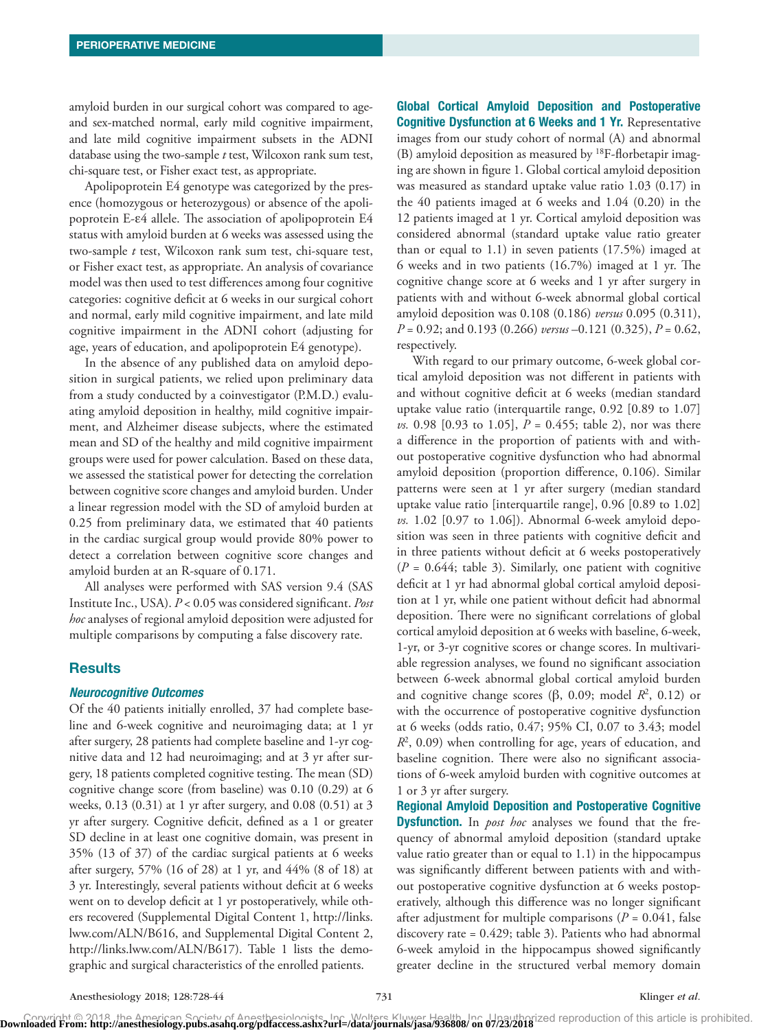amyloid burden in our surgical cohort was compared to ageand sex-matched normal, early mild cognitive impairment, and late mild cognitive impairment subsets in the ADNI database using the two-sample *t* test, Wilcoxon rank sum test, chi-square test, or Fisher exact test, as appropriate.

Apolipoprotein E4 genotype was categorized by the presence (homozygous or heterozygous) or absence of the apolipoprotein E-ε4 allele. The association of apolipoprotein E4 status with amyloid burden at 6 weeks was assessed using the two-sample *t* test, Wilcoxon rank sum test, chi-square test, or Fisher exact test, as appropriate. An analysis of covariance model was then used to test differences among four cognitive categories: cognitive deficit at 6 weeks in our surgical cohort and normal, early mild cognitive impairment, and late mild cognitive impairment in the ADNI cohort (adjusting for age, years of education, and apolipoprotein E4 genotype).

In the absence of any published data on amyloid deposition in surgical patients, we relied upon preliminary data from a study conducted by a coinvestigator (P.M.D.) evaluating amyloid deposition in healthy, mild cognitive impairment, and Alzheimer disease subjects, where the estimated mean and SD of the healthy and mild cognitive impairment groups were used for power calculation. Based on these data, we assessed the statistical power for detecting the correlation between cognitive score changes and amyloid burden. Under a linear regression model with the SD of amyloid burden at 0.25 from preliminary data, we estimated that 40 patients in the cardiac surgical group would provide 80% power to detect a correlation between cognitive score changes and amyloid burden at an R-square of 0.171.

All analyses were performed with SAS version 9.4 (SAS Institute Inc., USA). *P* < 0.05 was considered significant. *Post hoc* analyses of regional amyloid deposition were adjusted for multiple comparisons by computing a false discovery rate.

#### Results

#### *Neurocognitive Outcomes*

Of the 40 patients initially enrolled, 37 had complete baseline and 6-week cognitive and neuroimaging data; at 1 yr after surgery, 28 patients had complete baseline and 1-yr cognitive data and 12 had neuroimaging; and at 3 yr after surgery, 18 patients completed cognitive testing. The mean (SD) cognitive change score (from baseline) was 0.10 (0.29) at 6 weeks, 0.13 (0.31) at 1 yr after surgery, and 0.08 (0.51) at 3 yr after surgery. Cognitive deficit, defined as a 1 or greater SD decline in at least one cognitive domain, was present in 35% (13 of 37) of the cardiac surgical patients at 6 weeks after surgery, 57% (16 of 28) at 1 yr, and 44% (8 of 18) at 3 yr. Interestingly, several patients without deficit at 6 weeks went on to develop deficit at 1 yr postoperatively, while others recovered (Supplemental Digital Content 1, [http://links.](http://links.lww.com/ALN/B616) [lww.com/ALN/B616,](http://links.lww.com/ALN/B616) and Supplemental Digital Content 2, [http://links.lww.com/ALN/B617\)](http://links.lww.com/ALN/B617). Table 1 lists the demographic and surgical characteristics of the enrolled patients.

Global Cortical Amyloid Deposition and Postoperative **Cognitive Dysfunction at 6 Weeks and 1 Yr.** Representative images from our study cohort of normal (A) and abnormal (B) amyloid deposition as measured by  ${}^{18}F$ -florbetapir imaging are shown in figure 1. Global cortical amyloid deposition was measured as standard uptake value ratio 1.03 (0.17) in the 40 patients imaged at 6 weeks and 1.04 (0.20) in the 12 patients imaged at 1 yr. Cortical amyloid deposition was considered abnormal (standard uptake value ratio greater than or equal to 1.1) in seven patients (17.5%) imaged at 6 weeks and in two patients (16.7%) imaged at 1 yr. The cognitive change score at 6 weeks and 1 yr after surgery in patients with and without 6-week abnormal global cortical amyloid deposition was 0.108 (0.186) *versus* 0.095 (0.311), *P* = 0.92; and 0.193 (0.266) *versus* –0.121 (0.325), *P* = 0.62, respectively.

With regard to our primary outcome, 6-week global cortical amyloid deposition was not different in patients with and without cognitive deficit at 6 weeks (median standard uptake value ratio (interquartile range, 0.92 [0.89 to 1.07] *vs.* 0.98 [0.93 to 1.05], *P* = 0.455; table 2), nor was there a difference in the proportion of patients with and without postoperative cognitive dysfunction who had abnormal amyloid deposition (proportion difference, 0.106). Similar patterns were seen at 1 yr after surgery (median standard uptake value ratio [interquartile range], 0.96 [0.89 to 1.02] *vs.* 1.02 [0.97 to 1.06]). Abnormal 6-week amyloid deposition was seen in three patients with cognitive deficit and in three patients without deficit at 6 weeks postoperatively  $(P = 0.644;$  table 3). Similarly, one patient with cognitive deficit at 1 yr had abnormal global cortical amyloid deposition at 1 yr, while one patient without deficit had abnormal deposition. There were no significant correlations of global cortical amyloid deposition at 6 weeks with baseline, 6-week, 1-yr, or 3-yr cognitive scores or change scores. In multivariable regression analyses, we found no significant association between 6-week abnormal global cortical amyloid burden and cognitive change scores ( $\beta$ , 0.09; model  $\mathbb{R}^2$ , 0.12) or with the occurrence of postoperative cognitive dysfunction at 6 weeks (odds ratio, 0.47; 95% CI, 0.07 to 3.43; model *R*2 , 0.09) when controlling for age, years of education, and baseline cognition. There were also no significant associations of 6-week amyloid burden with cognitive outcomes at 1 or 3 yr after surgery.

Regional Amyloid Deposition and Postoperative Cognitive Dysfunction. In *post hoc* analyses we found that the frequency of abnormal amyloid deposition (standard uptake value ratio greater than or equal to 1.1) in the hippocampus was significantly different between patients with and without postoperative cognitive dysfunction at 6 weeks postoperatively, although this difference was no longer significant after adjustment for multiple comparisons ( $P = 0.041$ , false discovery rate = 0.429; table 3). Patients who had abnormal 6-week amyloid in the hippocampus showed significantly greater decline in the structured verbal memory domain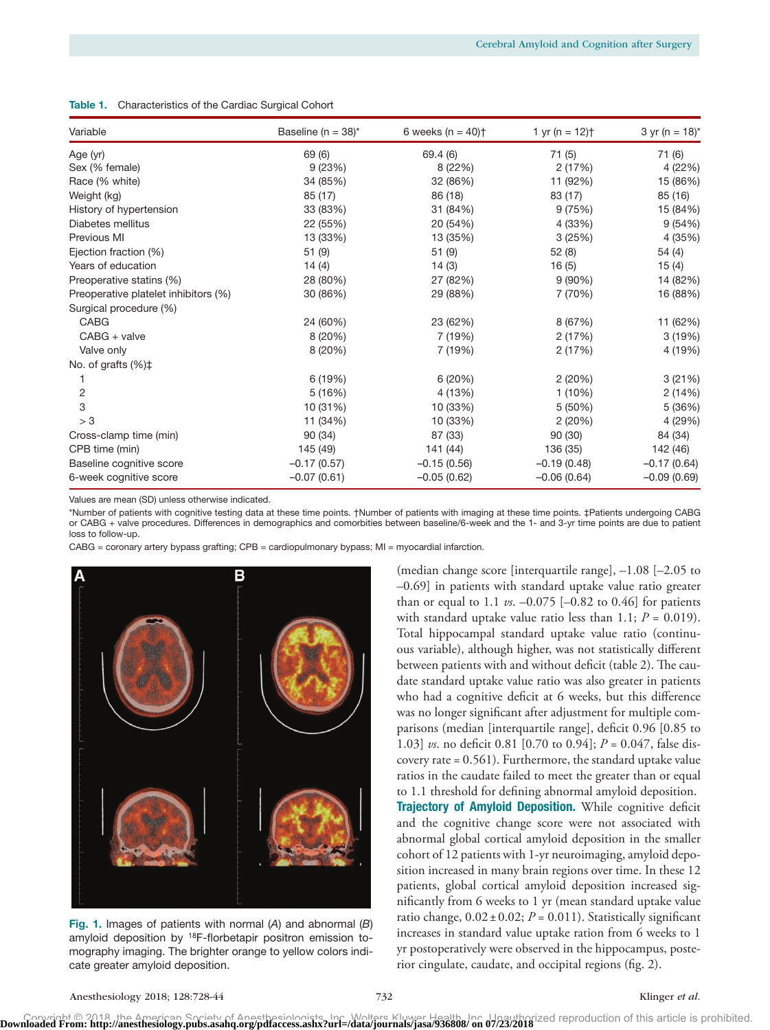| Variable                             | Baseline ( $n = 38$ )* | 6 weeks ( $n = 40$ ) <sup>+</sup> | 1 yr (n = $12$ ) <sup>+</sup> | 3 yr (n = $18$ )* |
|--------------------------------------|------------------------|-----------------------------------|-------------------------------|-------------------|
| Age (yr)                             | 69 (6)                 | 69.4 (6)                          | 71(5)                         | 71 (6)            |
| Sex (% female)                       | 9(23%)                 | 8(22%)                            | 2(17%)                        | 4 (22%)           |
| Race (% white)                       | 34 (85%)               | 32 (86%)                          | 11 (92%)                      | 15 (86%)          |
| Weight (kg)                          | 85 (17)                | 86 (18)                           | 83 (17)                       | 85 (16)           |
| History of hypertension              | 33 (83%)               | 31 (84%)                          | 9(75%)                        | 15 (84%)          |
| Diabetes mellitus                    | 22 (55%)               | 20 (54%)                          | 4 (33%)                       | 9(54%)            |
| Previous MI                          | 13 (33%)               | 13 (35%)                          | 3(25%)                        | 4 (35%)           |
| Ejection fraction (%)                | 51(9)                  | 51(9)                             | 52(8)                         | 54 (4)            |
| Years of education                   | 14(4)                  | 14(3)                             | 16(5)                         | 15(4)             |
| Preoperative statins (%)             | 28 (80%)               | 27 (82%)                          | $9(90\%)$                     | 14 (82%)          |
| Preoperative platelet inhibitors (%) | 30 (86%)               | 29 (88%)                          | 7 (70%)                       | 16 (88%)          |
| Surgical procedure (%)               |                        |                                   |                               |                   |
| <b>CABG</b>                          | 24 (60%)               | 23 (62%)                          | 8 (67%)                       | 11 (62%)          |
| $CABG + value$                       | 8(20%)                 | 7 (19%)                           | 2(17%)                        | 3(19%)            |
| Valve only                           | 8(20%)                 | 7 (19%)                           | 2(17%)                        | 4 (19%)           |
| No. of grafts (%)‡                   |                        |                                   |                               |                   |
|                                      | 6 (19%)                | 6(20%)                            | 2(20%)                        | 3(21%)            |
| 2                                    | 5(16%)                 | 4 (13%)                           | 1 (10%)                       | 2(14%)            |
| 3                                    | 10 (31%)               | 10 (33%)                          | 5(50%)                        | 5 (36%)           |
| > 3                                  | 11 (34%)               | 10 (33%)                          | 2(20%)                        | 4 (29%)           |
| Cross-clamp time (min)               | 90(34)                 | 87 (33)                           | 90(30)                        | 84 (34)           |
| CPB time (min)                       | 145 (49)               | 141 (44)                          | 136 (35)                      | 142 (46)          |
| Baseline cognitive score             | $-0.17(0.57)$          | $-0.15(0.56)$                     | $-0.19(0.48)$                 | $-0.17(0.64)$     |
| 6-week cognitive score               | $-0.07(0.61)$          | $-0.05(0.62)$                     | $-0.06(0.64)$                 | $-0.09(0.69)$     |

Table 1. Characteristics of the Cardiac Surgical Cohort

Values are mean (SD) unless otherwise indicated.

\*Number of patients with cognitive testing data at these time points. †Number of patients with imaging at these time points. ‡Patients undergoing CABG or CABG + valve procedures. Differences in demographics and comorbities between baseline/6-week and the 1- and 3-yr time points are due to patient loss to follow-up.

CABG = coronary artery bypass grafting; CPB = cardiopulmonary bypass; MI = myocardial infarction.



Fig. 1. Images of patients with normal (*A*) and abnormal (*B*) amyloid deposition by 18F-florbetapir positron emission tomography imaging. The brighter orange to yellow colors indicate greater amyloid deposition.

(median change score [interquartile range], –1.08 [–2.05 to –0.69] in patients with standard uptake value ratio greater than or equal to 1.1  $\nu s. -0.075$  [-0.82 to 0.46] for patients with standard uptake value ratio less than 1.1;  $P = 0.019$ ). Total hippocampal standard uptake value ratio (continuous variable), although higher, was not statistically different between patients with and without deficit (table 2). The caudate standard uptake value ratio was also greater in patients who had a cognitive deficit at 6 weeks, but this difference was no longer significant after adjustment for multiple comparisons (median [interquartile range], deficit 0.96 [0.85 to 1.03] *vs*. no deficit 0.81 [0.70 to 0.94]; *P* = 0.047, false discovery rate = 0.561). Furthermore, the standard uptake value ratios in the caudate failed to meet the greater than or equal to 1.1 threshold for defining abnormal amyloid deposition. Trajectory of Amyloid Deposition. While cognitive deficit and the cognitive change score were not associated with abnormal global cortical amyloid deposition in the smaller cohort of 12 patients with 1-yr neuroimaging, amyloid deposition increased in many brain regions over time. In these 12 patients, global cortical amyloid deposition increased significantly from 6 weeks to 1 yr (mean standard uptake value ratio change,  $0.02 \pm 0.02$ ;  $P = 0.011$ ). Statistically significant increases in standard value uptake ration from 6 weeks to 1 yr postoperatively were observed in the hippocampus, posterior cingulate, caudate, and occipital regions (fig. 2).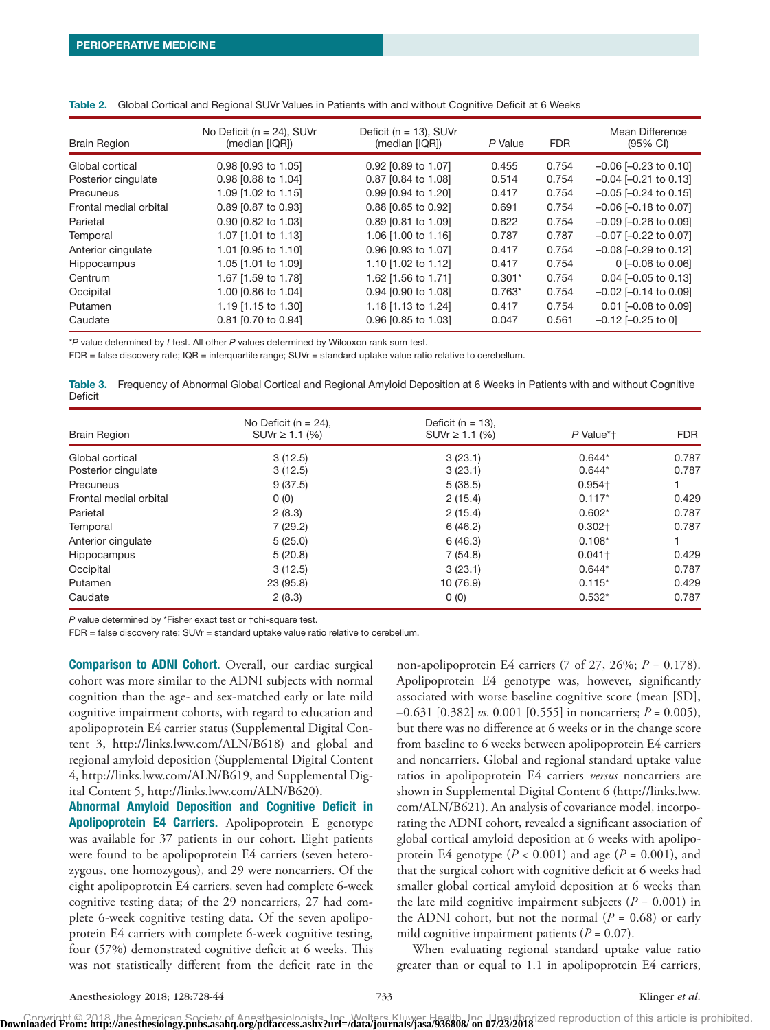| <b>Brain Region</b>    | No Deficit ( $n = 24$ ), SUVr<br>(median [IQR]) | Deficit ( $n = 13$ ), SUVr<br>(median [IQR]) | P Value  | <b>FDR</b> | Mean Difference<br>$(95% \text{ Cl})$ |
|------------------------|-------------------------------------------------|----------------------------------------------|----------|------------|---------------------------------------|
| Global cortical        | 0.98 [0.93 to 1.05]                             | 0.92 [0.89 to 1.07]                          | 0.455    | 0.754      | $-0.06$ $[-0.23$ to $0.10]$           |
| Posterior cinqulate    | 0.98 [0.88 to 1.04]                             | 0.87 [0.84 to 1.08]                          | 0.514    | 0.754      | $-0.04$ $[-0.21$ to 0.13]             |
| Precuneus              | 1.09 [1.02 to 1.15]                             | 0.99 [0.94 to 1.20]                          | 0.417    | 0.754      | $-0.05$ $[-0.24$ to 0.15]             |
| Frontal medial orbital | 0.89 [0.87 to 0.93]                             | 0.88 [0.85 to 0.92]                          | 0.691    | 0.754      | $-0.06$ $[-0.18$ to 0.07]             |
| Parietal               | 0.90 [0.82 to 1.03]                             | 0.89 [0.81 to 1.09]                          | 0.622    | 0.754      | $-0.09$ $[-0.26$ to $0.09]$           |
| Temporal               | 1.07 [1.01 to 1.13]                             | 1.06 [1.00 to 1.16]                          | 0.787    | 0.787      | $-0.07$ $[-0.22$ to 0.07]             |
| Anterior cinqulate     | 1.01 [0.95 to 1.10]                             | 0.96 [0.93 to 1.07]                          | 0.417    | 0.754      | $-0.08$ $[-0.29$ to 0.12]             |
| Hippocampus            | 1.05 [1.01 to 1.09]                             | 1.10 [1.02 to 1.12]                          | 0.417    | 0.754      | $0$ [-0.06 to 0.06]                   |
| Centrum                | 1.67 [1.59 to 1.78]                             | 1.62 [1.56 to 1.71]                          | $0.301*$ | 0.754      | $0.04$ [-0.05 to 0.13]                |
| Occipital              | 1.00 [0.86 to 1.04]                             | 0.94 [0.90 to 1.08]                          | $0.763*$ | 0.754      | $-0.02$ $[-0.14$ to 0.09]             |
| Putamen                | 1.19 [1.15 to 1.30]                             | 1.18 [1.13 to 1.24]                          | 0.417    | 0.754      | $0.01$ $[-0.08$ to $0.09]$            |
| Caudate                | 0.81 [0.70 to 0.94]                             | 0.96 [0.85 to 1.03]                          | 0.047    | 0.561      | $-0.12$ $[-0.25$ to 0]                |

|  | Table 2. Global Cortical and Regional SUVr Values in Patients with and without Cognitive Deficit at 6 Weeks |  |
|--|-------------------------------------------------------------------------------------------------------------|--|
|  |                                                                                                             |  |

\**P* value determined by *t* test. All other *P* values determined by Wilcoxon rank sum test.

FDR = false discovery rate; IQR = interquartile range; SUVr = standard uptake value ratio relative to cerebellum.

Table 3. Frequency of Abnormal Global Cortical and Regional Amyloid Deposition at 6 Weeks in Patients with and without Cognitive Deficit

| <b>Brain Region</b>    | No Deficit ( $n = 24$ ),<br>$SUVr \ge 1.1$ (%) | Deficit ( $n = 13$ ),<br>$SUVr \ge 1.1$ (%) | P Value*† | <b>FDR</b> |
|------------------------|------------------------------------------------|---------------------------------------------|-----------|------------|
| Global cortical        | 3(12.5)                                        | 3(23.1)                                     | $0.644*$  | 0.787      |
| Posterior cingulate    | 3(12.5)                                        | 3(23.1)                                     | $0.644*$  | 0.787      |
| Precuneus              | 9(37.5)                                        | 5(38.5)                                     | $0.954 +$ |            |
| Frontal medial orbital | 0(0)                                           | 2(15.4)                                     | $0.117*$  | 0.429      |
| Parietal               | 2(8.3)                                         | 2(15.4)                                     | $0.602*$  | 0.787      |
| Temporal               | 7(29.2)                                        | 6(46.2)                                     | $0.302+$  | 0.787      |
| Anterior cingulate     | 5(25.0)                                        | 6(46.3)                                     | $0.108*$  |            |
| Hippocampus            | 5(20.8)                                        | 7(54.8)                                     | $0.041 +$ | 0.429      |
| Occipital              | 3(12.5)                                        | 3(23.1)                                     | $0.644*$  | 0.787      |
| Putamen                | 23 (95.8)                                      | 10 (76.9)                                   | $0.115*$  | 0.429      |
| Caudate                | 2(8.3)                                         | 0(0)                                        | $0.532*$  | 0.787      |

*P* value determined by \*Fisher exact test or †chi-square test.

FDR = false discovery rate; SUVr = standard uptake value ratio relative to cerebellum.

**Comparison to ADNI Cohort.** Overall, our cardiac surgical cohort was more similar to the ADNI subjects with normal cognition than the age- and sex-matched early or late mild cognitive impairment cohorts, with regard to education and apolipoprotein E4 carrier status (Supplemental Digital Content 3, <http://links.lww.com/ALN/B618>) and global and regional amyloid deposition (Supplemental Digital Content 4, [http://links.lww.com/ALN/B619,](http://links.lww.com/ALN/B619) and Supplemental Digital Content 5, [http://links.lww.com/ALN/B620\)](http://links.lww.com/ALN/B620).

Abnormal Amyloid Deposition and Cognitive Deficit in Apolipoprotein E4 Carriers. Apolipoprotein E genotype was available for 37 patients in our cohort. Eight patients were found to be apolipoprotein E4 carriers (seven heterozygous, one homozygous), and 29 were noncarriers. Of the eight apolipoprotein E4 carriers, seven had complete 6-week cognitive testing data; of the 29 noncarriers, 27 had complete 6-week cognitive testing data. Of the seven apolipoprotein E4 carriers with complete 6-week cognitive testing, four (57%) demonstrated cognitive deficit at 6 weeks. This was not statistically different from the deficit rate in the

non-apolipoprotein E4 carriers (7 of 27, 26%; *P* = 0.178). Apolipoprotein E4 genotype was, however, significantly associated with worse baseline cognitive score (mean [SD], –0.631 [0.382] *vs*. 0.001 [0.555] in noncarriers; *P* = 0.005), but there was no difference at 6 weeks or in the change score from baseline to 6 weeks between apolipoprotein E4 carriers and noncarriers. Global and regional standard uptake value ratios in apolipoprotein E4 carriers *versus* noncarriers are shown in Supplemental Digital Content 6 ([http://links.lww.](http://links.lww.com/ALN/B621) [com/ALN/B621](http://links.lww.com/ALN/B621)). An analysis of covariance model, incorporating the ADNI cohort, revealed a significant association of global cortical amyloid deposition at 6 weeks with apolipoprotein E4 genotype  $(P < 0.001)$  and age  $(P = 0.001)$ , and that the surgical cohort with cognitive deficit at 6 weeks had smaller global cortical amyloid deposition at 6 weeks than the late mild cognitive impairment subjects (*P* = 0.001) in the ADNI cohort, but not the normal  $(P = 0.68)$  or early mild cognitive impairment patients  $(P = 0.07)$ .

When evaluating regional standard uptake value ratio greater than or equal to 1.1 in apolipoprotein E4 carriers,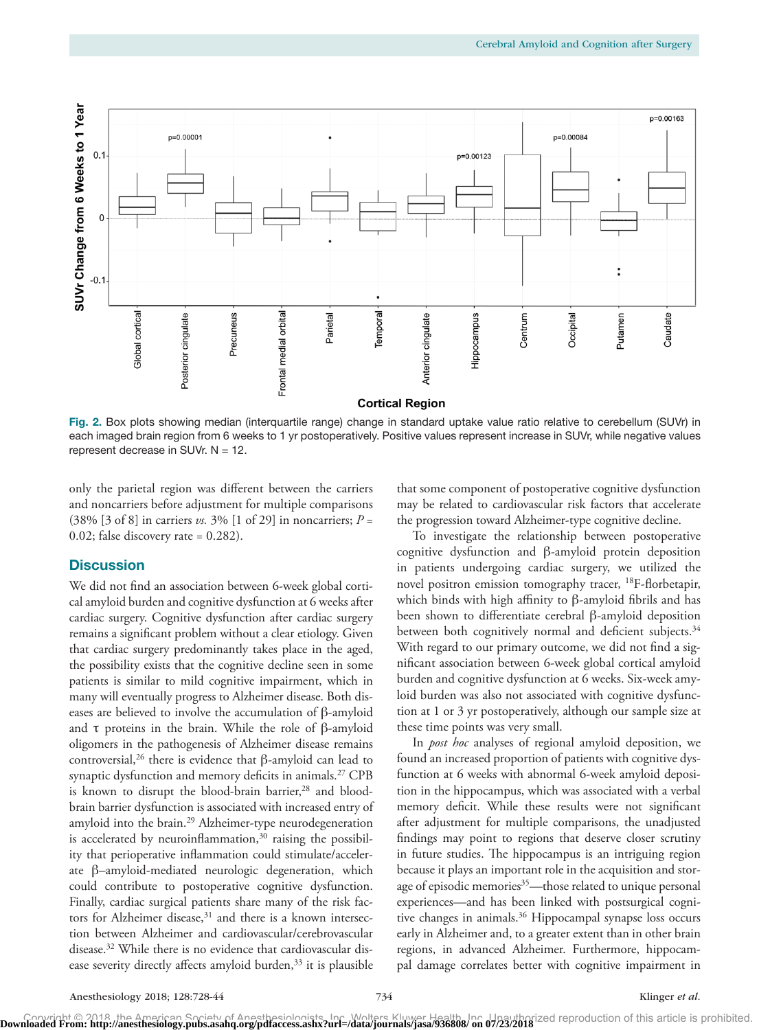

Fig. 2. Box plots showing median (interquartile range) change in standard uptake value ratio relative to cerebellum (SUVr) in each imaged brain region from 6 weeks to 1 yr postoperatively. Positive values represent increase in SUVr, while negative values represent decrease in SUVr.  $N = 12$ .

only the parietal region was different between the carriers and noncarriers before adjustment for multiple comparisons (38% [3 of 8] in carriers *vs.* 3% [1 of 29] in noncarriers; *P* = 0.02; false discovery rate = 0.282).

#### **Discussion**

We did not find an association between 6-week global cortical amyloid burden and cognitive dysfunction at 6 weeks after cardiac surgery. Cognitive dysfunction after cardiac surgery remains a significant problem without a clear etiology. Given that cardiac surgery predominantly takes place in the aged, the possibility exists that the cognitive decline seen in some patients is similar to mild cognitive impairment, which in many will eventually progress to Alzheimer disease. Both diseases are believed to involve the accumulation of β-amyloid and τ proteins in the brain. While the role of  $β$ -amyloid oligomers in the pathogenesis of Alzheimer disease remains controversial,<sup>26</sup> there is evidence that β-amyloid can lead to synaptic dysfunction and memory deficits in animals.<sup>27</sup> CPB is known to disrupt the blood-brain barrier,<sup>28</sup> and bloodbrain barrier dysfunction is associated with increased entry of amyloid into the brain.<sup>29</sup> Alzheimer-type neurodegeneration is accelerated by neuroinflammation, $30$  raising the possibility that perioperative inflammation could stimulate/accelerate β–amyloid-mediated neurologic degeneration, which could contribute to postoperative cognitive dysfunction. Finally, cardiac surgical patients share many of the risk factors for Alzheimer disease,<sup>31</sup> and there is a known intersection between Alzheimer and cardiovascular/cerebrovascular disease.32 While there is no evidence that cardiovascular disease severity directly affects amyloid burden,<sup>33</sup> it is plausible that some component of postoperative cognitive dysfunction may be related to cardiovascular risk factors that accelerate the progression toward Alzheimer-type cognitive decline.

To investigate the relationship between postoperative cognitive dysfunction and β-amyloid protein deposition in patients undergoing cardiac surgery, we utilized the novel positron emission tomography tracer, 18F-florbetapir, which binds with high affinity to β-amyloid fibrils and has been shown to differentiate cerebral β-amyloid deposition between both cognitively normal and deficient subjects.<sup>34</sup> With regard to our primary outcome, we did not find a significant association between 6-week global cortical amyloid burden and cognitive dysfunction at 6 weeks. Six-week amyloid burden was also not associated with cognitive dysfunction at 1 or 3 yr postoperatively, although our sample size at these time points was very small.

In *post hoc* analyses of regional amyloid deposition, we found an increased proportion of patients with cognitive dysfunction at 6 weeks with abnormal 6-week amyloid deposition in the hippocampus, which was associated with a verbal memory deficit. While these results were not significant after adjustment for multiple comparisons, the unadjusted findings may point to regions that deserve closer scrutiny in future studies. The hippocampus is an intriguing region because it plays an important role in the acquisition and storage of episodic memories<sup>35</sup>—those related to unique personal experiences—and has been linked with postsurgical cognitive changes in animals.<sup>36</sup> Hippocampal synapse loss occurs early in Alzheimer and, to a greater extent than in other brain regions, in advanced Alzheimer. Furthermore, hippocampal damage correlates better with cognitive impairment in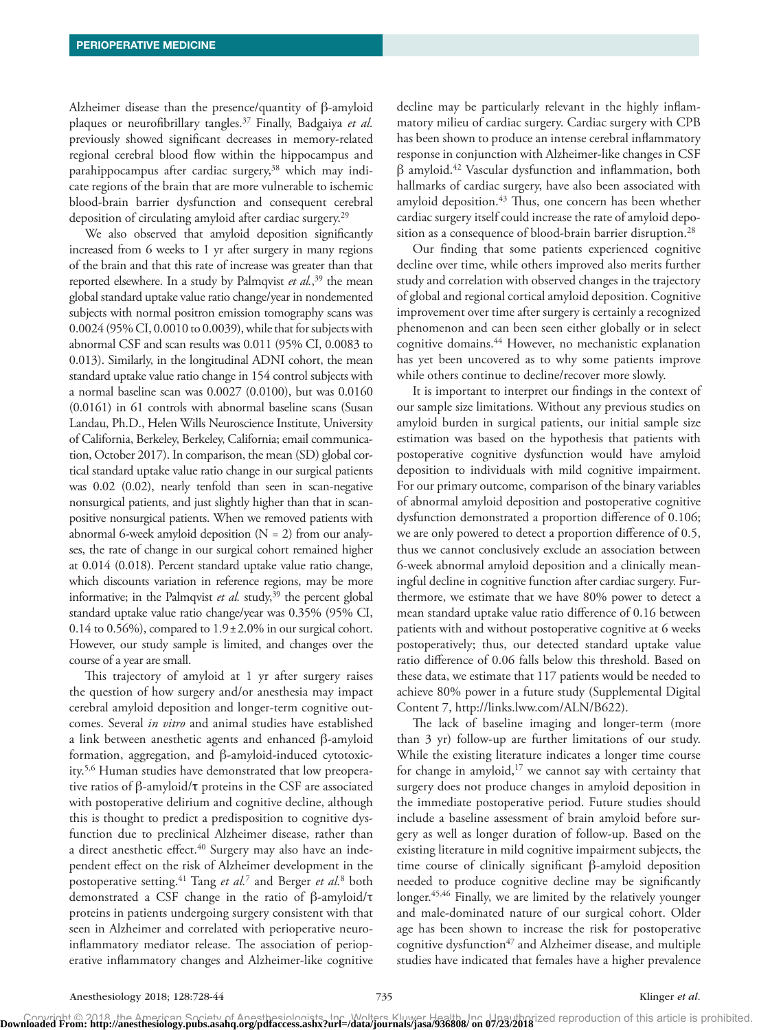Alzheimer disease than the presence/quantity of β-amyloid plaques or neurofibrillary tangles.37 Finally, Badgaiya *et al.* previously showed significant decreases in memory-related regional cerebral blood flow within the hippocampus and parahippocampus after cardiac surgery,<sup>38</sup> which may indicate regions of the brain that are more vulnerable to ischemic blood-brain barrier dysfunction and consequent cerebral deposition of circulating amyloid after cardiac surgery.<sup>29</sup>

We also observed that amyloid deposition significantly increased from 6 weeks to 1 yr after surgery in many regions of the brain and that this rate of increase was greater than that reported elsewhere. In a study by Palmqvist *et al.*, 39 the mean global standard uptake value ratio change/year in nondemented subjects with normal positron emission tomography scans was 0.0024 (95% CI, 0.0010 to 0.0039), while that for subjects with abnormal CSF and scan results was 0.011 (95% CI, 0.0083 to 0.013). Similarly, in the longitudinal ADNI cohort, the mean standard uptake value ratio change in 154 control subjects with a normal baseline scan was 0.0027 (0.0100), but was 0.0160 (0.0161) in 61 controls with abnormal baseline scans (Susan Landau, Ph.D., Helen Wills Neuroscience Institute, University of California, Berkeley, Berkeley, California; email communication, October 2017). In comparison, the mean (SD) global cortical standard uptake value ratio change in our surgical patients was 0.02 (0.02), nearly tenfold than seen in scan-negative nonsurgical patients, and just slightly higher than that in scanpositive nonsurgical patients. When we removed patients with abnormal 6-week amyloid deposition  $(N = 2)$  from our analyses, the rate of change in our surgical cohort remained higher at 0.014 (0.018). Percent standard uptake value ratio change, which discounts variation in reference regions, may be more informative; in the Palmqvist  $et$   $al$ . study,<sup>39</sup> the percent global standard uptake value ratio change/year was 0.35% (95% CI,  $0.14$  to  $0.56\%$ ), compared to  $1.9 \pm 2.0\%$  in our surgical cohort. However, our study sample is limited, and changes over the course of a year are small.

This trajectory of amyloid at 1 yr after surgery raises the question of how surgery and/or anesthesia may impact cerebral amyloid deposition and longer-term cognitive outcomes. Several *in vitro* and animal studies have established a link between anesthetic agents and enhanced β-amyloid formation, aggregation, and β-amyloid-induced cytotoxicity.5,6 Human studies have demonstrated that low preoperative ratios of β-amyloid/τ proteins in the CSF are associated with postoperative delirium and cognitive decline, although this is thought to predict a predisposition to cognitive dysfunction due to preclinical Alzheimer disease, rather than a direct anesthetic effect.<sup>40</sup> Surgery may also have an independent effect on the risk of Alzheimer development in the postoperative setting.41 Tang *et al.*<sup>7</sup> and Berger *et al.*<sup>8</sup> both demonstrated a CSF change in the ratio of β-amyloid/τ proteins in patients undergoing surgery consistent with that seen in Alzheimer and correlated with perioperative neuroinflammatory mediator release. The association of perioperative inflammatory changes and Alzheimer-like cognitive decline may be particularly relevant in the highly inflammatory milieu of cardiac surgery. Cardiac surgery with CPB has been shown to produce an intense cerebral inflammatory response in conjunction with Alzheimer-like changes in CSF β amyloid.42 Vascular dysfunction and inflammation, both hallmarks of cardiac surgery, have also been associated with amyloid deposition.<sup>43</sup> Thus, one concern has been whether cardiac surgery itself could increase the rate of amyloid deposition as a consequence of blood-brain barrier disruption.<sup>28</sup>

Our finding that some patients experienced cognitive decline over time, while others improved also merits further study and correlation with observed changes in the trajectory of global and regional cortical amyloid deposition. Cognitive improvement over time after surgery is certainly a recognized phenomenon and can been seen either globally or in select cognitive domains.44 However, no mechanistic explanation has yet been uncovered as to why some patients improve while others continue to decline/recover more slowly.

It is important to interpret our findings in the context of our sample size limitations. Without any previous studies on amyloid burden in surgical patients, our initial sample size estimation was based on the hypothesis that patients with postoperative cognitive dysfunction would have amyloid deposition to individuals with mild cognitive impairment. For our primary outcome, comparison of the binary variables of abnormal amyloid deposition and postoperative cognitive dysfunction demonstrated a proportion difference of 0.106; we are only powered to detect a proportion difference of 0.5, thus we cannot conclusively exclude an association between 6-week abnormal amyloid deposition and a clinically meaningful decline in cognitive function after cardiac surgery. Furthermore, we estimate that we have 80% power to detect a mean standard uptake value ratio difference of 0.16 between patients with and without postoperative cognitive at 6 weeks postoperatively; thus, our detected standard uptake value ratio difference of 0.06 falls below this threshold. Based on these data, we estimate that 117 patients would be needed to achieve 80% power in a future study (Supplemental Digital Content 7, [http://links.lww.com/ALN/B622\)](http://links.lww.com/ALN/B622).

The lack of baseline imaging and longer-term (more than 3 yr) follow-up are further limitations of our study. While the existing literature indicates a longer time course for change in amyloid, $17$  we cannot say with certainty that surgery does not produce changes in amyloid deposition in the immediate postoperative period. Future studies should include a baseline assessment of brain amyloid before surgery as well as longer duration of follow-up. Based on the existing literature in mild cognitive impairment subjects, the time course of clinically significant β-amyloid deposition needed to produce cognitive decline may be significantly longer.45,46 Finally, we are limited by the relatively younger and male-dominated nature of our surgical cohort. Older age has been shown to increase the risk for postoperative cognitive dysfunction<sup>47</sup> and Alzheimer disease, and multiple studies have indicated that females have a higher prevalence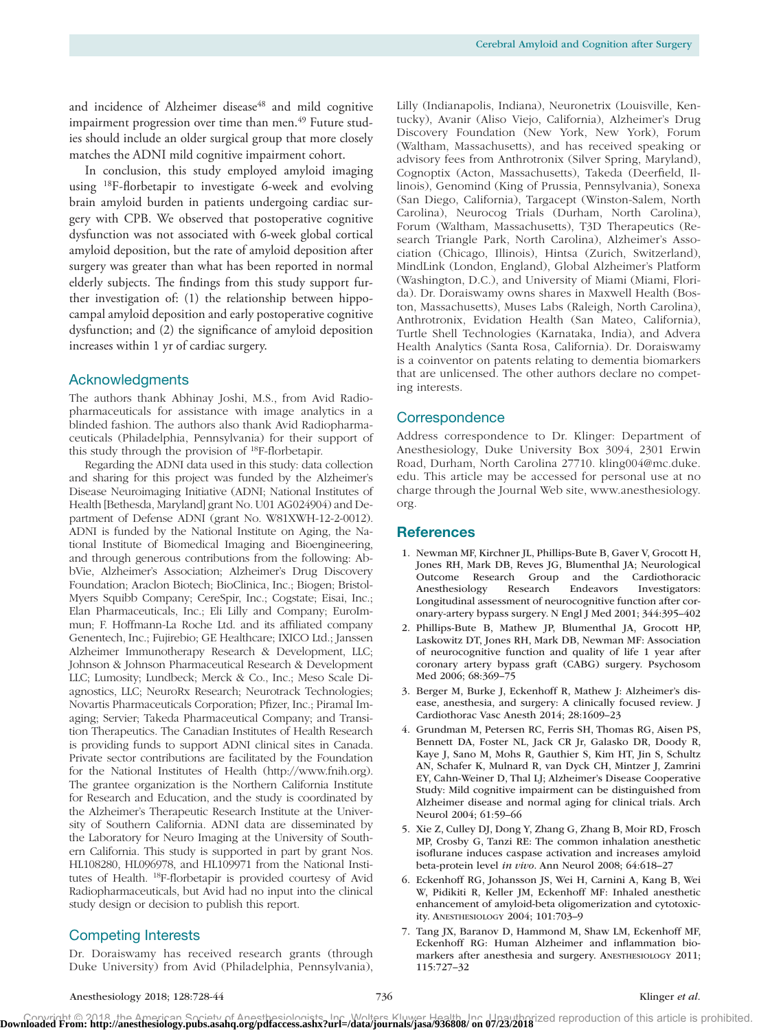and incidence of Alzheimer disease<sup>48</sup> and mild cognitive impairment progression over time than men.<sup>49</sup> Future studies should include an older surgical group that more closely matches the ADNI mild cognitive impairment cohort.

In conclusion, this study employed amyloid imaging using 18F-florbetapir to investigate 6-week and evolving brain amyloid burden in patients undergoing cardiac surgery with CPB. We observed that postoperative cognitive dysfunction was not associated with 6-week global cortical amyloid deposition, but the rate of amyloid deposition after surgery was greater than what has been reported in normal elderly subjects. The findings from this study support further investigation of: (1) the relationship between hippocampal amyloid deposition and early postoperative cognitive dysfunction; and (2) the significance of amyloid deposition increases within 1 yr of cardiac surgery.

#### Acknowledgments

The authors thank Abhinay Joshi, M.S., from Avid Radiopharmaceuticals for assistance with image analytics in a blinded fashion. The authors also thank Avid Radiopharmaceuticals (Philadelphia, Pennsylvania) for their support of this study through the provision of 18F-florbetapir.

Regarding the ADNI data used in this study: data collection and sharing for this project was funded by the Alzheimer's Disease Neuroimaging Initiative (ADNI; National Institutes of Health [Bethesda, Maryland] grant No. U01 AG024904) and Department of Defense ADNI (grant No. W81XWH-12-2-0012). ADNI is funded by the National Institute on Aging, the National Institute of Biomedical Imaging and Bioengineering, and through generous contributions from the following: AbbVie, Alzheimer's Association; Alzheimer's Drug Discovery Foundation; Araclon Biotech; BioClinica, Inc.; Biogen; Bristol-Myers Squibb Company; CereSpir, Inc.; Cogstate; Eisai, Inc.; Elan Pharmaceuticals, Inc.; Eli Lilly and Company; EuroImmun; F. Hoffmann-La Roche Ltd. and its affiliated company Genentech, Inc.; Fujirebio; GE Healthcare; IXICO Ltd.; Janssen Alzheimer Immunotherapy Research & Development, LLC; Johnson & Johnson Pharmaceutical Research & Development LLC; Lumosity; Lundbeck; Merck & Co., Inc.; Meso Scale Diagnostics, LLC; NeuroRx Research; Neurotrack Technologies; Novartis Pharmaceuticals Corporation; Pfizer, Inc.; Piramal Imaging; Servier; Takeda Pharmaceutical Company; and Transition Therapeutics. The Canadian Institutes of Health Research is providing funds to support ADNI clinical sites in Canada. Private sector contributions are facilitated by the Foundation for the National Institutes of Health (http:/[/www.fnih.org](www.fnih.org)). The grantee organization is the Northern California Institute for Research and Education, and the study is coordinated by the Alzheimer's Therapeutic Research Institute at the University of Southern California. ADNI data are disseminated by the Laboratory for Neuro Imaging at the University of Southern California. This study is supported in part by grant Nos. HL108280, HL096978, and HL109971 from the National Institutes of Health. 18F-florbetapir is provided courtesy of Avid Radiopharmaceuticals, but Avid had no input into the clinical study design or decision to publish this report.

#### Competing Interests

Dr. Doraiswamy has received research grants (through Duke University) from Avid (Philadelphia, Pennsylvania),

Lilly (Indianapolis, Indiana), Neuronetrix (Louisville, Kentucky), Avanir (Aliso Viejo, California), Alzheimer's Drug Discovery Foundation (New York, New York), Forum (Waltham, Massachusetts), and has received speaking or advisory fees from Anthrotronix (Silver Spring, Maryland), Cognoptix (Acton, Massachusetts), Takeda (Deerfield, Illinois), Genomind (King of Prussia, Pennsylvania), Sonexa (San Diego, California), Targacept (Winston-Salem, North Carolina), Neurocog Trials (Durham, North Carolina), Forum (Waltham, Massachusetts), T3D Therapeutics (Research Triangle Park, North Carolina), Alzheimer's Association (Chicago, Illinois), Hintsa (Zurich, Switzerland), MindLink (London, England), Global Alzheimer's Platform (Washington, D.C.), and University of Miami (Miami, Florida). Dr. Doraiswamy owns shares in Maxwell Health (Boston, Massachusetts), Muses Labs (Raleigh, North Carolina), Anthrotronix, Evidation Health (San Mateo, California), Turtle Shell Technologies (Karnataka, India), and Advera Health Analytics (Santa Rosa, California). Dr. Doraiswamy is a coinventor on patents relating to dementia biomarkers that are unlicensed. The other authors declare no competing interests.

#### Correspondence

Address correspondence to Dr. Klinger: Department of Anesthesiology, Duke University Box 3094, 2301 Erwin Road, Durham, North Carolina 27710. [kling004@mc.duke.](mailto:kling004@mc.duke.edu) [edu](mailto:kling004@mc.duke.edu). This article may be accessed for personal use at no charge through the Journal Web site, [www.anesthesiology.](http://www.anesthesiology.org) [org.](http://www.anesthesiology.org)

#### References

- 1. Newman MF, Kirchner JL, Phillips-Bute B, Gaver V, Grocott H, Jones RH, Mark DB, Reves JG, Blumenthal JA; Neurological Outcome Research Group and the Cardiothoracic Anesthesiology Research Endeavors Investigators: Longitudinal assessment of neurocognitive function after coronary-artery bypass surgery. N Engl J Med 2001; 344:395–402
- 2. Phillips-Bute B, Mathew JP, Blumenthal JA, Grocott HP, Laskowitz DT, Jones RH, Mark DB, Newman MF: Association of neurocognitive function and quality of life 1 year after coronary artery bypass graft (CABG) surgery. Psychosom Med 2006; 68:369–75
- 3. Berger M, Burke J, Eckenhoff R, Mathew J: Alzheimer's disease, anesthesia, and surgery: A clinically focused review. J Cardiothorac Vasc Anesth 2014; 28:1609–23
- 4. Grundman M, Petersen RC, Ferris SH, Thomas RG, Aisen PS, Bennett DA, Foster NL, Jack CR Jr, Galasko DR, Doody R, Kaye J, Sano M, Mohs R, Gauthier S, Kim HT, Jin S, Schultz AN, Schafer K, Mulnard R, van Dyck CH, Mintzer J, Zamrini EY, Cahn-Weiner D, Thal LJ; Alzheimer's Disease Cooperative Study: Mild cognitive impairment can be distinguished from Alzheimer disease and normal aging for clinical trials. Arch Neurol 2004; 61:59–66
- 5. Xie Z, Culley DJ, Dong Y, Zhang G, Zhang B, Moir RD, Frosch MP, Crosby G, Tanzi RE: The common inhalation anesthetic isoflurane induces caspase activation and increases amyloid beta-protein level *in vivo*. Ann Neurol 2008; 64:618–27
- 6. Eckenhoff RG, Johansson JS, Wei H, Carnini A, Kang B, Wei W, Pidikiti R, Keller JM, Eckenhoff MF: Inhaled anesthetic enhancement of amyloid-beta oligomerization and cytotoxicity. ANESTHESIOLOGY 2004; 101:703–9
- 7. Tang JX, Baranov D, Hammond M, Shaw LM, Eckenhoff MF, Eckenhoff RG: Human Alzheimer and inflammation biomarkers after anesthesia and surgery. ANESTHESIOLOGY 2011; 115:727–32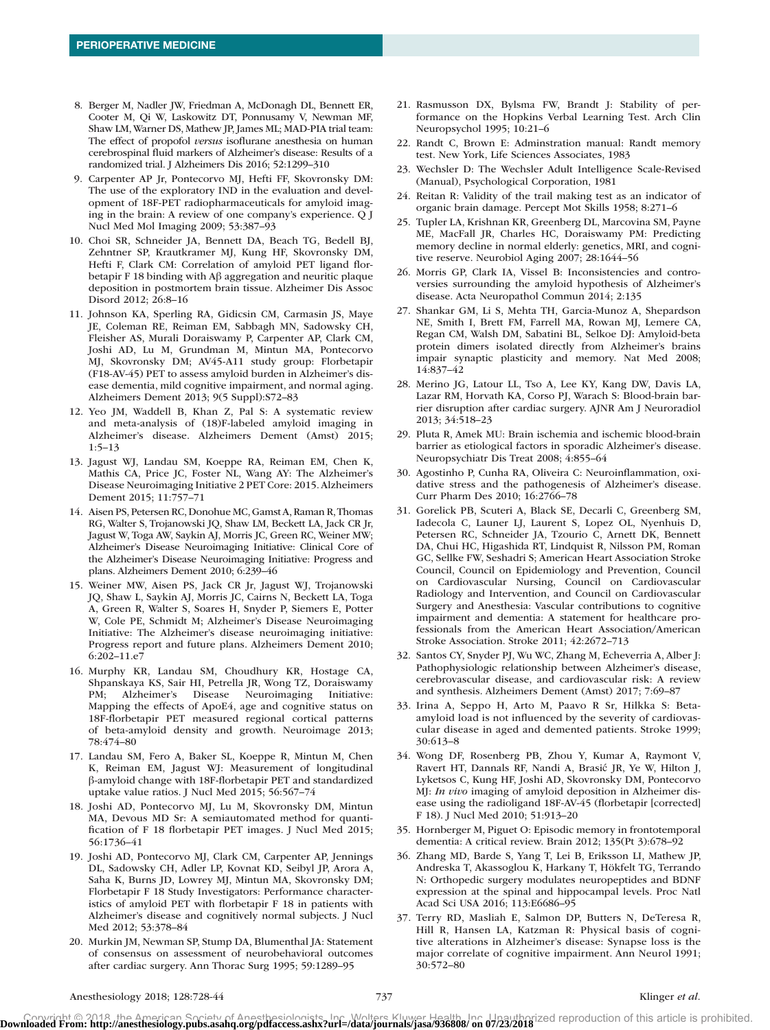- 8. Berger M, Nadler JW, Friedman A, McDonagh DL, Bennett ER, Cooter M, Qi W, Laskowitz DT, Ponnusamy V, Newman MF, Shaw LM, Warner DS, Mathew JP, James ML; MAD-PIA trial team: The effect of propofol *versus* isoflurane anesthesia on human cerebrospinal fluid markers of Alzheimer's disease: Results of a randomized trial. J Alzheimers Dis 2016; 52:1299–310
- 9. Carpenter AP Jr, Pontecorvo MJ, Hefti FF, Skovronsky DM: The use of the exploratory IND in the evaluation and development of 18F-PET radiopharmaceuticals for amyloid imaging in the brain: A review of one company's experience. Q J Nucl Med Mol Imaging 2009; 53:387–93
- 10. Choi SR, Schneider JA, Bennett DA, Beach TG, Bedell BJ, Zehntner SP, Krautkramer MJ, Kung HF, Skovronsky DM, Hefti F, Clark CM: Correlation of amyloid PET ligand florbetapir F 18 binding with Aβ aggregation and neuritic plaque deposition in postmortem brain tissue. Alzheimer Dis Assoc Disord 2012; 26:8–16
- 11. Johnson KA, Sperling RA, Gidicsin CM, Carmasin JS, Maye JE, Coleman RE, Reiman EM, Sabbagh MN, Sadowsky CH, Fleisher AS, Murali Doraiswamy P, Carpenter AP, Clark CM, Joshi AD, Lu M, Grundman M, Mintun MA, Pontecorvo MJ, Skovronsky DM; AV45-A11 study group: Florbetapir (F18-AV-45) PET to assess amyloid burden in Alzheimer's disease dementia, mild cognitive impairment, and normal aging. Alzheimers Dement 2013; 9(5 Suppl):S72–83
- 12. Yeo JM, Waddell B, Khan Z, Pal S: A systematic review and meta-analysis of (18)F-labeled amyloid imaging in Alzheimer's disease. Alzheimers Dement (Amst) 2015; 1:5–13
- 13. Jagust WJ, Landau SM, Koeppe RA, Reiman EM, Chen K, Mathis CA, Price JC, Foster NL, Wang AY: The Alzheimer's Disease Neuroimaging Initiative 2 PET Core: 2015. Alzheimers Dement 2015; 11:757–71
- 14. Aisen PS, Petersen RC, Donohue MC, Gamst A, Raman R, Thomas RG, Walter S, Trojanowski JQ, Shaw LM, Beckett LA, Jack CR Jr, Jagust W, Toga AW, Saykin AJ, Morris JC, Green RC, Weiner MW; Alzheimer's Disease Neuroimaging Initiative: Clinical Core of the Alzheimer's Disease Neuroimaging Initiative: Progress and plans. Alzheimers Dement 2010; 6:239–46
- 15. Weiner MW, Aisen PS, Jack CR Jr, Jagust WJ, Trojanowski JQ, Shaw L, Saykin AJ, Morris JC, Cairns N, Beckett LA, Toga A, Green R, Walter S, Soares H, Snyder P, Siemers E, Potter W, Cole PE, Schmidt M; Alzheimer's Disease Neuroimaging Initiative: The Alzheimer's disease neuroimaging initiative: Progress report and future plans. Alzheimers Dement 2010; 6:202–11.e7
- 16. Murphy KR, Landau SM, Choudhury KR, Hostage CA, Shpanskaya KS, Sair HI, Petrella JR, Wong TZ, Doraiswamy PM; Alzheimer's Disease Neuroimaging Initiative: Mapping the effects of ApoE4, age and cognitive status on 18F-florbetapir PET measured regional cortical patterns of beta-amyloid density and growth. Neuroimage 2013; 78:474–80
- 17. Landau SM, Fero A, Baker SL, Koeppe R, Mintun M, Chen K, Reiman EM, Jagust WJ: Measurement of longitudinal β-amyloid change with 18F-florbetapir PET and standardized uptake value ratios. J Nucl Med 2015; 56:567–74
- 18. Joshi AD, Pontecorvo MJ, Lu M, Skovronsky DM, Mintun MA, Devous MD Sr: A semiautomated method for quantification of F 18 florbetapir PET images. J Nucl Med 2015; 56:1736–41
- 19. Joshi AD, Pontecorvo MJ, Clark CM, Carpenter AP, Jennings DL, Sadowsky CH, Adler LP, Kovnat KD, Seibyl JP, Arora A, Saha K, Burns JD, Lowrey MJ, Mintun MA, Skovronsky DM; Florbetapir F 18 Study Investigators: Performance characteristics of amyloid PET with florbetapir F 18 in patients with Alzheimer's disease and cognitively normal subjects. J Nucl Med 2012; 53:378–84
- 20. Murkin JM, Newman SP, Stump DA, Blumenthal JA: Statement of consensus on assessment of neurobehavioral outcomes after cardiac surgery. Ann Thorac Surg 1995; 59:1289–95
- 21. Rasmusson DX, Bylsma FW, Brandt J: Stability of performance on the Hopkins Verbal Learning Test. Arch Clin Neuropsychol 1995; 10:21–6
- 22. Randt C, Brown E: Adminstration manual: Randt memory test. New York, Life Sciences Associates, 1983
- 23. Wechsler D: The Wechsler Adult Intelligence Scale-Revised (Manual), Psychological Corporation, 1981
- 24. Reitan R: Validity of the trail making test as an indicator of organic brain damage. Percept Mot Skills 1958; 8:271–6
- 25. Tupler LA, Krishnan KR, Greenberg DL, Marcovina SM, Payne ME, MacFall JR, Charles HC, Doraiswamy PM: Predicting memory decline in normal elderly: genetics, MRI, and cognitive reserve. Neurobiol Aging 2007; 28:1644–56
- 26. Morris GP, Clark IA, Vissel B: Inconsistencies and controversies surrounding the amyloid hypothesis of Alzheimer's disease. Acta Neuropathol Commun 2014; 2:135
- 27. Shankar GM, Li S, Mehta TH, Garcia-Munoz A, Shepardson NE, Smith I, Brett FM, Farrell MA, Rowan MJ, Lemere CA, Regan CM, Walsh DM, Sabatini BL, Selkoe DJ: Amyloid-beta protein dimers isolated directly from Alzheimer's brains impair synaptic plasticity and memory. Nat Med 2008; 14:837–42
- 28. Merino JG, Latour LL, Tso A, Lee KY, Kang DW, Davis LA, Lazar RM, Horvath KA, Corso PJ, Warach S: Blood-brain barrier disruption after cardiac surgery. AJNR Am J Neuroradiol 2013; 34:518–23
- 29. Pluta R, Amek MU: Brain ischemia and ischemic blood-brain barrier as etiological factors in sporadic Alzheimer's disease. Neuropsychiatr Dis Treat 2008; 4:855–64
- 30. Agostinho P, Cunha RA, Oliveira C: Neuroinflammation, oxidative stress and the pathogenesis of Alzheimer's disease. Curr Pharm Des 2010; 16:2766–78
- 31. Gorelick PB, Scuteri A, Black SE, Decarli C, Greenberg SM, Iadecola C, Launer LJ, Laurent S, Lopez OL, Nyenhuis D, Petersen RC, Schneider JA, Tzourio C, Arnett DK, Bennett DA, Chui HC, Higashida RT, Lindquist R, Nilsson PM, Roman GC, Sellke FW, Seshadri S; American Heart Association Stroke Council, Council on Epidemiology and Prevention, Council on Cardiovascular Nursing, Council on Cardiovascular Radiology and Intervention, and Council on Cardiovascular Surgery and Anesthesia: Vascular contributions to cognitive impairment and dementia: A statement for healthcare professionals from the American Heart Association/American Stroke Association. Stroke 2011; 42:2672–713
- 32. Santos CY, Snyder PJ, Wu WC, Zhang M, Echeverria A, Alber J: Pathophysiologic relationship between Alzheimer's disease, cerebrovascular disease, and cardiovascular risk: A review and synthesis. Alzheimers Dement (Amst) 2017; 7:69–87
- 33. Irina A, Seppo H, Arto M, Paavo R Sr, Hilkka S: Betaamyloid load is not influenced by the severity of cardiovascular disease in aged and demented patients. Stroke 1999; 30:613–8
- 34. Wong DF, Rosenberg PB, Zhou Y, Kumar A, Raymont V, Ravert HT, Dannals RF, Nandi A, Brasić JR, Ye W, Hilton J, Lyketsos C, Kung HF, Joshi AD, Skovronsky DM, Pontecorvo MJ: *In vivo* imaging of amyloid deposition in Alzheimer disease using the radioligand 18F-AV-45 (florbetapir [corrected] F 18). J Nucl Med 2010; 51:913–20
- 35. Hornberger M, Piguet O: Episodic memory in frontotemporal dementia: A critical review. Brain 2012; 135(Pt 3):678–92
- 36. Zhang MD, Barde S, Yang T, Lei B, Eriksson LI, Mathew JP, Andreska T, Akassoglou K, Harkany T, Hökfelt TG, Terrando N: Orthopedic surgery modulates neuropeptides and BDNF expression at the spinal and hippocampal levels. Proc Natl Acad Sci USA 2016; 113:E6686–95
- 37. Terry RD, Masliah E, Salmon DP, Butters N, DeTeresa R, Hill R, Hansen LA, Katzman R: Physical basis of cognitive alterations in Alzheimer's disease: Synapse loss is the major correlate of cognitive impairment. Ann Neurol 1991; 30:572–80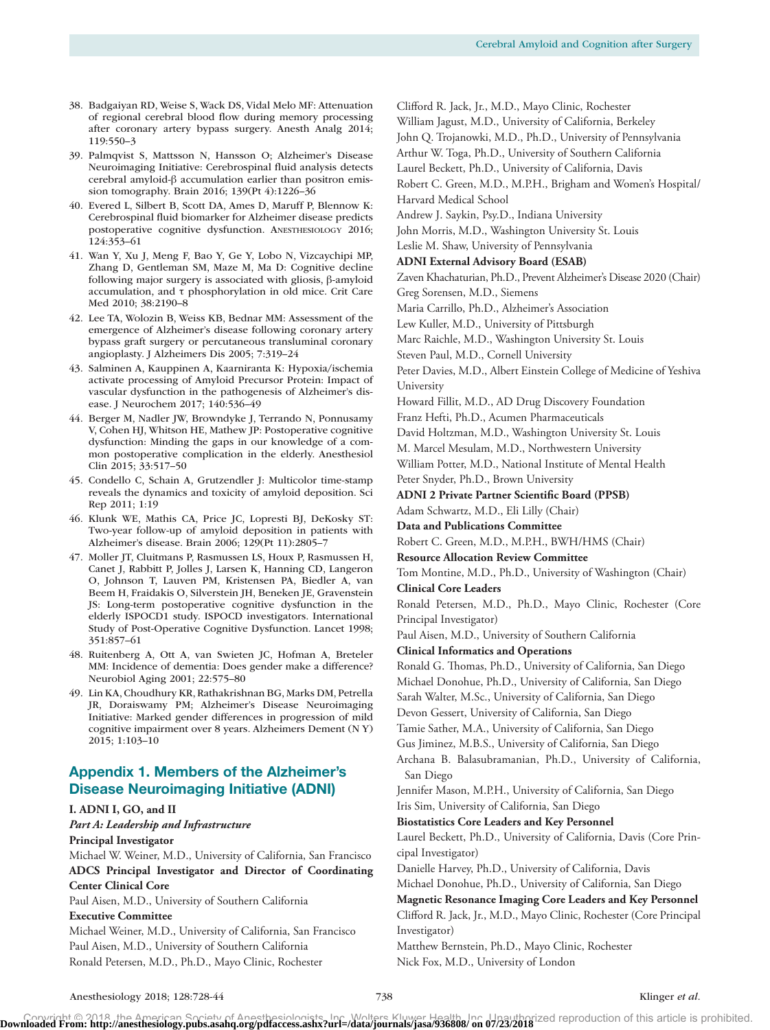- 38. Badgaiyan RD, Weise S, Wack DS, Vidal Melo MF: Attenuation of regional cerebral blood flow during memory processing after coronary artery bypass surgery. Anesth Analg 2014; 119:550–3
- 39. Palmqvist S, Mattsson N, Hansson O; Alzheimer's Disease Neuroimaging Initiative: Cerebrospinal fluid analysis detects cerebral amyloid-β accumulation earlier than positron emission tomography. Brain 2016; 139(Pt 4):1226–36
- 40. Evered L, Silbert B, Scott DA, Ames D, Maruff P, Blennow K: Cerebrospinal fluid biomarker for Alzheimer disease predicts postoperative cognitive dysfunction. ANESTHESIOLOGY 2016; 124:353–61
- 41. Wan Y, Xu J, Meng F, Bao Y, Ge Y, Lobo N, Vizcaychipi MP, Zhang D, Gentleman SM, Maze M, Ma D: Cognitive decline following major surgery is associated with gliosis, β-amyloid accumulation, and τ phosphorylation in old mice. Crit Care Med 2010; 38:2190–8
- 42. Lee TA, Wolozin B, Weiss KB, Bednar MM: Assessment of the emergence of Alzheimer's disease following coronary artery bypass graft surgery or percutaneous transluminal coronary angioplasty. J Alzheimers Dis 2005; 7:319–24
- 43. Salminen A, Kauppinen A, Kaarniranta K: Hypoxia/ischemia activate processing of Amyloid Precursor Protein: Impact of vascular dysfunction in the pathogenesis of Alzheimer's disease. J Neurochem 2017; 140:536–49
- 44. Berger M, Nadler JW, Browndyke J, Terrando N, Ponnusamy V, Cohen HJ, Whitson HE, Mathew JP: Postoperative cognitive dysfunction: Minding the gaps in our knowledge of a common postoperative complication in the elderly. Anesthesiol Clin 2015; 33:517–50
- 45. Condello C, Schain A, Grutzendler J: Multicolor time-stamp reveals the dynamics and toxicity of amyloid deposition. Sci Rep 2011; 1:19
- 46. Klunk WE, Mathis CA, Price JC, Lopresti BJ, DeKosky ST: Two-year follow-up of amyloid deposition in patients with Alzheimer's disease. Brain 2006; 129(Pt 11):2805–7
- 47. Moller JT, Cluitmans P, Rasmussen LS, Houx P, Rasmussen H, Canet J, Rabbitt P, Jolles J, Larsen K, Hanning CD, Langeron O, Johnson T, Lauven PM, Kristensen PA, Biedler A, van Beem H, Fraidakis O, Silverstein JH, Beneken JE, Gravenstein JS: Long-term postoperative cognitive dysfunction in the elderly ISPOCD1 study. ISPOCD investigators. International Study of Post-Operative Cognitive Dysfunction. Lancet 1998; 351:857–61
- 48. Ruitenberg A, Ott A, van Swieten JC, Hofman A, Breteler MM: Incidence of dementia: Does gender make a difference? Neurobiol Aging 2001; 22:575–80
- 49. Lin KA, Choudhury KR, Rathakrishnan BG, Marks DM, Petrella JR, Doraiswamy PM; Alzheimer's Disease Neuroimaging Initiative: Marked gender differences in progression of mild cognitive impairment over 8 years. Alzheimers Dement (N Y) 2015; 1:103–10

# Appendix 1. Members of the Alzheimer's Disease Neuroimaging Initiative (ADNI)

#### **I. ADNI I, GO, and II** *Part A: Leadership and Infrastructure* **Principal Investigator**

Michael W. Weiner, M.D., University of California, San Francisco **ADCS Principal Investigator and Director of Coordinating Center Clinical Core**

Paul Aisen, M.D., University of Southern California

### **Executive Committee**

Michael Weiner, M.D., University of California, San Francisco Paul Aisen, M.D., University of Southern California Ronald Petersen, M.D., Ph.D., Mayo Clinic, Rochester

Clifford R. Jack, Jr., M.D., Mayo Clinic, Rochester

William Jagust, M.D., University of California, Berkeley

John Q. Trojanowki, M.D., Ph.D., University of Pennsylvania

Arthur W. Toga, Ph.D., University of Southern California

Laurel Beckett, Ph.D., University of California, Davis

Robert C. Green, M.D., M.P.H., Brigham and Women's Hospital/ Harvard Medical School

Andrew J. Saykin, Psy.D., Indiana University

John Morris, M.D., Washington University St. Louis

Leslie M. Shaw, University of Pennsylvania

#### **ADNI External Advisory Board (ESAB)**

Zaven Khachaturian, Ph.D., Prevent Alzheimer's Disease 2020 (Chair) Greg Sorensen, M.D., Siemens

Maria Carrillo, Ph.D., Alzheimer's Association

Lew Kuller, M.D., University of Pittsburgh

Marc Raichle, M.D., Washington University St. Louis

Steven Paul, M.D., Cornell University

Peter Davies, M.D., Albert Einstein College of Medicine of Yeshiva University

Howard Fillit, M.D., AD Drug Discovery Foundation

Franz Hefti, Ph.D., Acumen Pharmaceuticals

David Holtzman, M.D., Washington University St. Louis

M. Marcel Mesulam, M.D., Northwestern University

William Potter, M.D., National Institute of Mental Health Peter Snyder, Ph.D., Brown University

**ADNI 2 Private Partner Scientific Board (PPSB)**

Adam Schwartz, M.D., Eli Lilly (Chair)

**Data and Publications Committee**

Robert C. Green, M.D., M.P.H., BWH/HMS (Chair)

#### **Resource Allocation Review Committee**

Tom Montine, M.D., Ph.D., University of Washington (Chair) **Clinical Core Leaders**

Ronald Petersen, M.D., Ph.D., Mayo Clinic, Rochester (Core Principal Investigator)

Paul Aisen, M.D., University of Southern California

#### **Clinical Informatics and Operations**

Ronald G. Thomas, Ph.D., University of California, San Diego Michael Donohue, Ph.D., University of California, San Diego

Sarah Walter, M.Sc., University of California, San Diego

Devon Gessert, University of California, San Diego

Tamie Sather, M.A., University of California, San Diego

Gus Jiminez, M.B.S., University of California, San Diego

Archana B. Balasubramanian, Ph.D., University of California, San Diego

Jennifer Mason, M.P.H., University of California, San Diego Iris Sim, University of California, San Diego

#### **Biostatistics Core Leaders and Key Personnel**

Laurel Beckett, Ph.D., University of California, Davis (Core Principal Investigator)

Danielle Harvey, Ph.D., University of California, Davis

Michael Donohue, Ph.D., University of California, San Diego

**Magnetic Resonance Imaging Core Leaders and Key Personnel** Clifford R. Jack, Jr., M.D., Mayo Clinic, Rochester (Core Principal Investigator)

Matthew Bernstein, Ph.D., Mayo Clinic, Rochester Nick Fox, M.D., University of London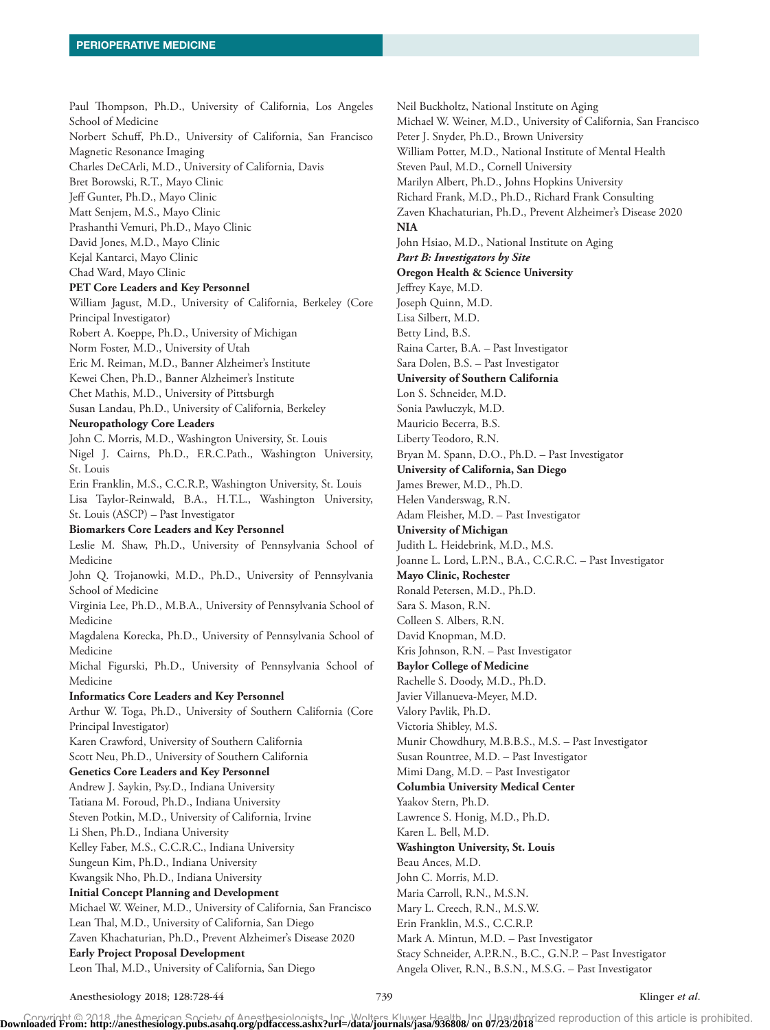Paul Thompson, Ph.D., University of California, Los Angeles School of Medicine Norbert Schuff, Ph.D., University of California, San Francisco Magnetic Resonance Imaging Charles DeCArli, M.D., University of California, Davis Bret Borowski, R.T., Mayo Clinic Jeff Gunter, Ph.D., Mayo Clinic Matt Senjem, M.S., Mayo Clinic Prashanthi Vemuri, Ph.D., Mayo Clinic David Jones, M.D., Mayo Clinic Kejal Kantarci, Mayo Clinic Chad Ward, Mayo Clinic **PET Core Leaders and Key Personnel** William Jagust, M.D., University of California, Berkeley (Core Principal Investigator) Robert A. Koeppe, Ph.D., University of Michigan Norm Foster, M.D., University of Utah Eric M. Reiman, M.D., Banner Alzheimer's Institute Kewei Chen, Ph.D., Banner Alzheimer's Institute Chet Mathis, M.D., University of Pittsburgh Susan Landau, Ph.D., University of California, Berkeley **Neuropathology Core Leaders** John C. Morris, M.D., Washington University, St. Louis Nigel J. Cairns, Ph.D., F.R.C.Path., Washington University, St. Louis Erin Franklin, M.S., C.C.R.P., Washington University, St. Louis Lisa Taylor-Reinwald, B.A., H.T.L., Washington University, St. Louis (ASCP) – Past Investigator **Biomarkers Core Leaders and Key Personnel** Leslie M. Shaw, Ph.D., University of Pennsylvania School of Medicine John Q. Trojanowki, M.D., Ph.D., University of Pennsylvania School of Medicine Virginia Lee, Ph.D., M.B.A., University of Pennsylvania School of Medicine Magdalena Korecka, Ph.D., University of Pennsylvania School of Medicine Michal Figurski, Ph.D., University of Pennsylvania School of Medicine **Informatics Core Leaders and Key Personnel** Arthur W. Toga, Ph.D., University of Southern California (Core Principal Investigator) Karen Crawford, University of Southern California Scott Neu, Ph.D., University of Southern California **Genetics Core Leaders and Key Personnel** Andrew J. Saykin, Psy.D., Indiana University Tatiana M. Foroud, Ph.D., Indiana University Steven Potkin, M.D., University of California, Irvine Li Shen, Ph.D., Indiana University Kelley Faber, M.S., C.C.R.C., Indiana University Sungeun Kim, Ph.D., Indiana University Kwangsik Nho, Ph.D., Indiana University **Initial Concept Planning and Development** Michael W. Weiner, M.D., University of California, San Francisco Lean Thal, M.D., University of California, San Diego Zaven Khachaturian, Ph.D., Prevent Alzheimer's Disease 2020 **Early Project Proposal Development**

Neil Buckholtz, National Institute on Aging Michael W. Weiner, M.D., University of California, San Francisco Peter J. Snyder, Ph.D., Brown University William Potter, M.D., National Institute of Mental Health Steven Paul, M.D., Cornell University Marilyn Albert, Ph.D., Johns Hopkins University Richard Frank, M.D., Ph.D., Richard Frank Consulting Zaven Khachaturian, Ph.D., Prevent Alzheimer's Disease 2020 **NIA** John Hsiao, M.D., National Institute on Aging *Part B: Investigators by Site* **Oregon Health & Science University** Jeffrey Kaye, M.D. Joseph Quinn, M.D. Lisa Silbert, M.D. Betty Lind, B.S. Raina Carter, B.A. – Past Investigator Sara Dolen, B.S. – Past Investigator **University of Southern California** Lon S. Schneider, M.D. Sonia Pawluczyk, M.D. Mauricio Becerra, B.S. Liberty Teodoro, R.N. Bryan M. Spann, D.O., Ph.D. – Past Investigator **University of California, San Diego** James Brewer, M.D., Ph.D. Helen Vanderswag, R.N. Adam Fleisher, M.D. – Past Investigator **University of Michigan** Judith L. Heidebrink, M.D., M.S. Joanne L. Lord, L.P.N., B.A., C.C.R.C. – Past Investigator **Mayo Clinic, Rochester** Ronald Petersen, M.D., Ph.D. Sara S. Mason, R.N. Colleen S. Albers, R.N. David Knopman, M.D. Kris Johnson, R.N. – Past Investigator **Baylor College of Medicine** Rachelle S. Doody, M.D., Ph.D. Javier Villanueva-Meyer, M.D. Valory Pavlik, Ph.D. Victoria Shibley, M.S. Munir Chowdhury, M.B.B.S., M.S. – Past Investigator Susan Rountree, M.D. – Past Investigator Mimi Dang, M.D. – Past Investigator **Columbia University Medical Center** Yaakov Stern, Ph.D. Lawrence S. Honig, M.D., Ph.D. Karen L. Bell, M.D. **Washington University, St. Louis** Beau Ances, M.D. John C. Morris, M.D. Maria Carroll, R.N., M.S.N. Mary L. Creech, R.N., M.S.W. Erin Franklin, M.S., C.C.R.P. Mark A. Mintun, M.D. – Past Investigator Stacy Schneider, A.P.R.N., B.C., G.N.P. – Past Investigator Angela Oliver, R.N., B.S.N., M.S.G. – Past Investigator

Leon Thal, M.D., University of California, San Diego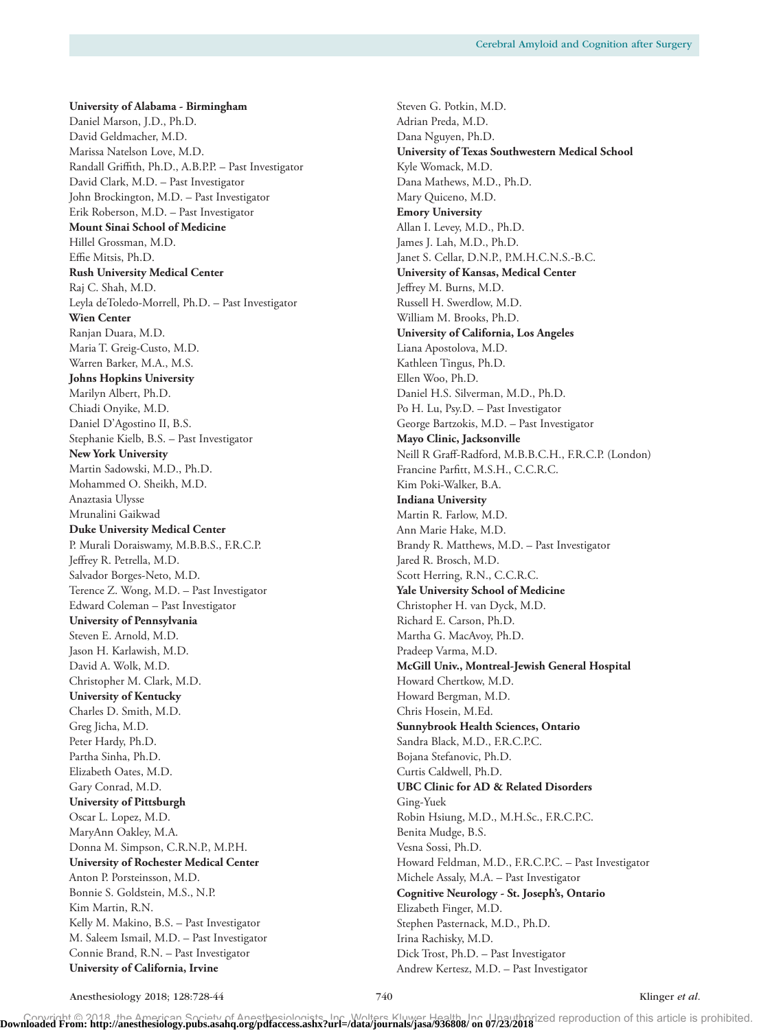**University of Alabama - Birmingham** Daniel Marson, J.D., Ph.D. David Geldmacher, M.D. Marissa Natelson Love, M.D. Randall Griffith, Ph.D., A.B.P.P. – Past Investigator David Clark, M.D. – Past Investigator John Brockington, M.D. – Past Investigator Erik Roberson, M.D. – Past Investigator **Mount Sinai School of Medicine** Hillel Grossman, M.D. Effie Mitsis, Ph.D. **Rush University Medical Center** Raj C. Shah, M.D. Leyla deToledo-Morrell, Ph.D. – Past Investigator **Wien Center** Ranjan Duara, M.D. Maria T. Greig-Custo, M.D. Warren Barker, M.A., M.S. **Johns Hopkins University** Marilyn Albert, Ph.D. Chiadi Onyike, M.D. Daniel D'Agostino II, B.S. Stephanie Kielb, B.S. – Past Investigator **New York University** Martin Sadowski, M.D., Ph.D. Mohammed O. Sheikh, M.D. Anaztasia Ulysse Mrunalini Gaikwad **Duke University Medical Center** P. Murali Doraiswamy, M.B.B.S., F.R.C.P. Jeffrey R. Petrella, M.D. Salvador Borges-Neto, M.D. Terence Z. Wong, M.D. – Past Investigator Edward Coleman – Past Investigator **University of Pennsylvania** Steven E. Arnold, M.D. Jason H. Karlawish, M.D. David A. Wolk, M.D. Christopher M. Clark, M.D. **University of Kentucky** Charles D. Smith, M.D. Greg Jicha, M.D. Peter Hardy, Ph.D. Partha Sinha, Ph.D. Elizabeth Oates, M.D. Gary Conrad, M.D. **University of Pittsburgh** Oscar L. Lopez, M.D. MaryAnn Oakley, M.A. Donna M. Simpson, C.R.N.P., M.P.H. **University of Rochester Medical Center** Anton P. Porsteinsson, M.D. Bonnie S. Goldstein, M.S., N.P. Kim Martin, R.N. Kelly M. Makino, B.S. – Past Investigator M. Saleem Ismail, M.D. – Past Investigator Connie Brand, R.N. – Past Investigator **University of California, Irvine**

Steven G. Potkin, M.D. Adrian Preda, M.D. Dana Nguyen, Ph.D. **University of Texas Southwestern Medical School** Kyle Womack, M.D. Dana Mathews, M.D., Ph.D. Mary Quiceno, M.D. **Emory University** Allan I. Levey, M.D., Ph.D. James J. Lah, M.D., Ph.D. Janet S. Cellar, D.N.P., P.M.H.C.N.S.-B.C. **University of Kansas, Medical Center** Jeffrey M. Burns, M.D. Russell H. Swerdlow, M.D. William M. Brooks, Ph.D. **University of California, Los Angeles** Liana Apostolova, M.D. Kathleen Tingus, Ph.D. Ellen Woo, Ph.D. Daniel H.S. Silverman, M.D., Ph.D. Po H. Lu, Psy.D. – Past Investigator George Bartzokis, M.D. – Past Investigator **Mayo Clinic, Jacksonville** Neill R Graff-Radford, M.B.B.C.H., F.R.C.P. (London) Francine Parfitt, M.S.H., C.C.R.C. Kim Poki-Walker, B.A. **Indiana University** Martin R. Farlow, M.D. Ann Marie Hake, M.D. Brandy R. Matthews, M.D. – Past Investigator Jared R. Brosch, M.D. Scott Herring, R.N., C.C.R.C. **Yale University School of Medicine** Christopher H. van Dyck, M.D. Richard E. Carson, Ph.D. Martha G. MacAvoy, Ph.D. Pradeep Varma, M.D. **McGill Univ., Montreal-Jewish General Hospital** Howard Chertkow, M.D. Howard Bergman, M.D. Chris Hosein, M.Ed. **Sunnybrook Health Sciences, Ontario** Sandra Black, M.D., F.R.C.P.C. Bojana Stefanovic, Ph.D. Curtis Caldwell, Ph.D. **UBC Clinic for AD & Related Disorders** Ging-Yuek Robin Hsiung, M.D., M.H.Sc., F.R.C.P.C. Benita Mudge, B.S. Vesna Sossi, Ph.D. Howard Feldman, M.D., F.R.C.P.C. – Past Investigator Michele Assaly, M.A. – Past Investigator **Cognitive Neurology - St. Joseph's, Ontario** Elizabeth Finger, M.D. Stephen Pasternack, M.D., Ph.D. Irina Rachisky, M.D. Dick Trost, Ph.D. – Past Investigator Andrew Kertesz, M.D. – Past Investigator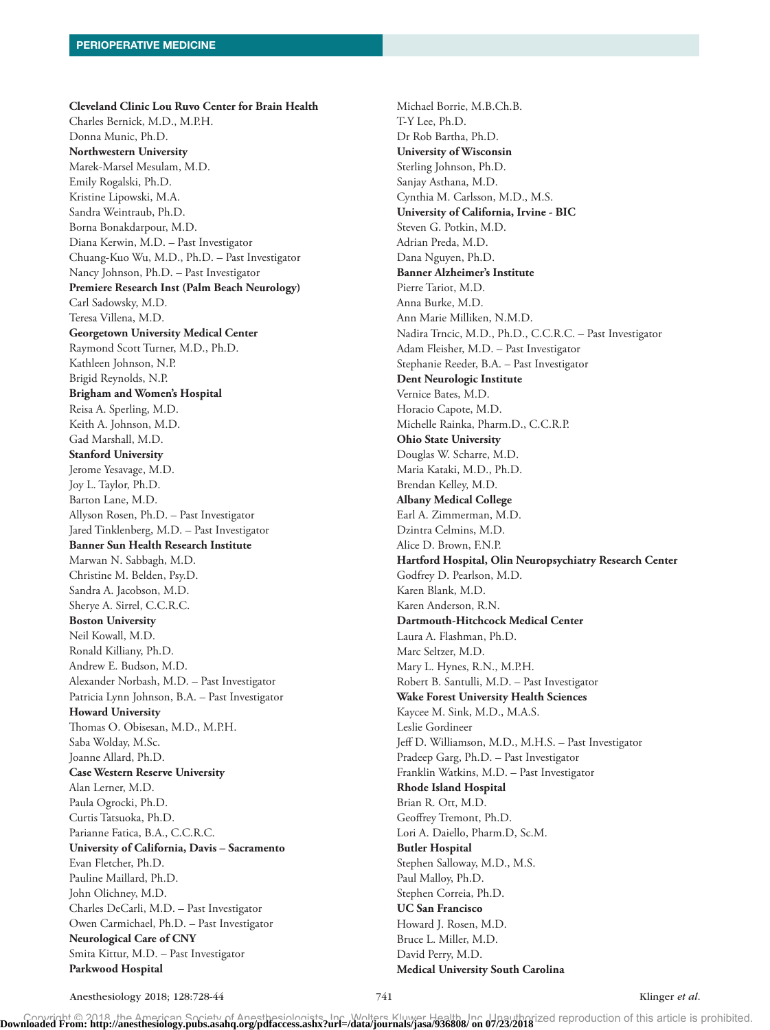**Cleveland Clinic Lou Ruvo Center for Brain Health** Charles Bernick, M.D., M.P.H. Donna Munic, Ph.D. **Northwestern University** Marek-Marsel Mesulam, M.D. Emily Rogalski, Ph.D. Kristine Lipowski, M.A. Sandra Weintraub, Ph.D. Borna Bonakdarpour, M.D. Diana Kerwin, M.D. – Past Investigator Chuang-Kuo Wu, M.D., Ph.D. – Past Investigator Nancy Johnson, Ph.D. – Past Investigator **Premiere Research Inst (Palm Beach Neurology)** Carl Sadowsky, M.D. Teresa Villena, M.D. **Georgetown University Medical Center** Raymond Scott Turner, M.D., Ph.D. Kathleen Johnson, N.P. Brigid Reynolds, N.P. **Brigham and Women's Hospital** Reisa A. Sperling, M.D. Keith A. Johnson, M.D. Gad Marshall, M.D. **Stanford University** Jerome Yesavage, M.D. Joy L. Taylor, Ph.D. Barton Lane, M.D. Allyson Rosen, Ph.D. – Past Investigator Jared Tinklenberg, M.D. – Past Investigator **Banner Sun Health Research Institute** Marwan N. Sabbagh, M.D. Christine M. Belden, Psy.D. Sandra A. Jacobson, M.D. Sherye A. Sirrel, C.C.R.C. **Boston University** Neil Kowall, M.D. Ronald Killiany, Ph.D. Andrew E. Budson, M.D. Alexander Norbash, M.D. – Past Investigator Patricia Lynn Johnson, B.A. – Past Investigator **Howard University** Thomas O. Obisesan, M.D., M.P.H. Saba Wolday, M.Sc. Joanne Allard, Ph.D. **Case Western Reserve University** Alan Lerner, M.D. Paula Ogrocki, Ph.D. Curtis Tatsuoka, Ph.D. Parianne Fatica, B.A., C.C.R.C. **University of California, Davis – Sacramento** Evan Fletcher, Ph.D. Pauline Maillard, Ph.D. John Olichney, M.D. Charles DeCarli, M.D. – Past Investigator Owen Carmichael, Ph.D. – Past Investigator **Neurological Care of CNY** Smita Kittur, M.D. – Past Investigator **Parkwood Hospital**

Michael Borrie, M.B.Ch.B. T-Y Lee, Ph.D. Dr Rob Bartha, Ph.D. **University of Wisconsin** Sterling Johnson, Ph.D. Sanjay Asthana, M.D. Cynthia M. Carlsson, M.D., M.S. **University of California, Irvine - BIC** Steven G. Potkin, M.D. Adrian Preda, M.D. Dana Nguyen, Ph.D. **Banner Alzheimer's Institute** Pierre Tariot, M.D. Anna Burke, M.D. Ann Marie Milliken, N.M.D. Nadira Trncic, M.D., Ph.D., C.C.R.C. – Past Investigator Adam Fleisher, M.D. – Past Investigator Stephanie Reeder, B.A. – Past Investigator **Dent Neurologic Institute** Vernice Bates, M.D. Horacio Capote, M.D. Michelle Rainka, Pharm.D., C.C.R.P. **Ohio State University** Douglas W. Scharre, M.D. Maria Kataki, M.D., Ph.D. Brendan Kelley, M.D. **Albany Medical College** Earl A. Zimmerman, M.D. Dzintra Celmins, M.D. Alice D. Brown, F.N.P. **Hartford Hospital, Olin Neuropsychiatry Research Center** Godfrey D. Pearlson, M.D. Karen Blank, M.D. Karen Anderson, R.N. **Dartmouth-Hitchcock Medical Center** Laura A. Flashman, Ph.D. Marc Seltzer, M.D. Mary L. Hynes, R.N., M.P.H. Robert B. Santulli, M.D. – Past Investigator **Wake Forest University Health Sciences** Kaycee M. Sink, M.D., M.A.S. Leslie Gordineer Jeff D. Williamson, M.D., M.H.S. – Past Investigator Pradeep Garg, Ph.D. – Past Investigator Franklin Watkins, M.D. – Past Investigator **Rhode Island Hospital** Brian R. Ott, M.D. Geoffrey Tremont, Ph.D. Lori A. Daiello, Pharm.D, Sc.M. **Butler Hospital** Stephen Salloway, M.D., M.S. Paul Malloy, Ph.D. Stephen Correia, Ph.D. **UC San Francisco** Howard J. Rosen, M.D. Bruce L. Miller, M.D. David Perry, M.D. **Medical University South Carolina**

Anesthesiology 2018; 128:728-44 741 741 Klinger *et al.*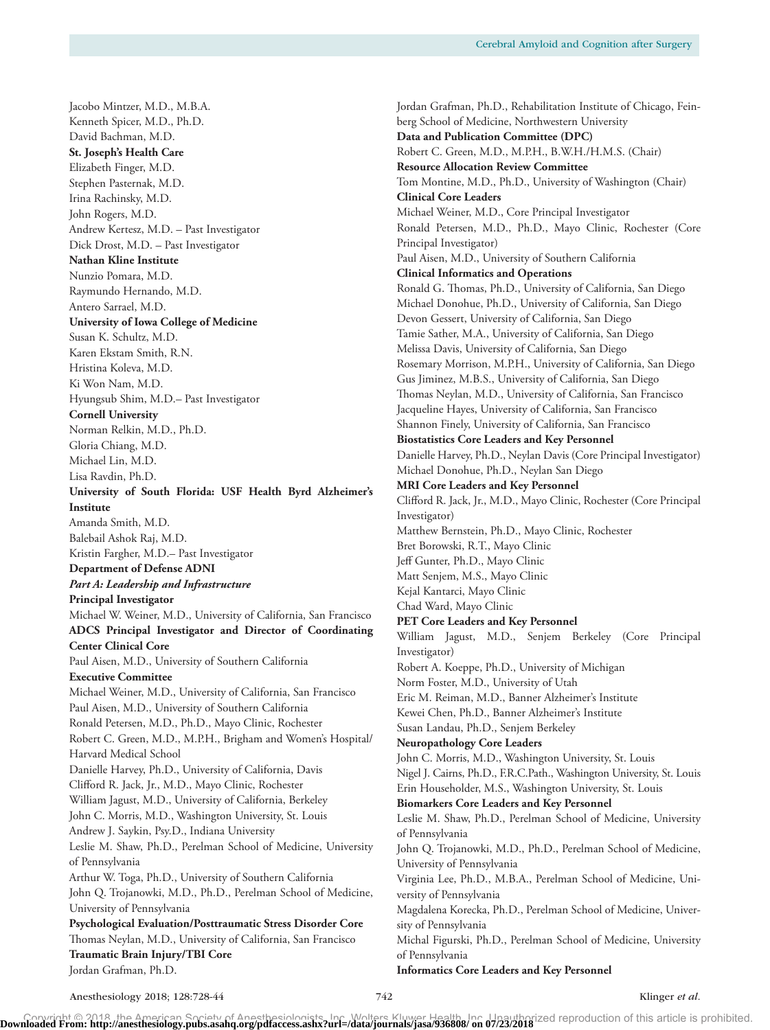Jacobo Mintzer, M.D., M.B.A. Kenneth Spicer, M.D., Ph.D. David Bachman, M.D. **St. Joseph's Health Care** Elizabeth Finger, M.D. Stephen Pasternak, M.D. Irina Rachinsky, M.D. John Rogers, M.D. Andrew Kertesz, M.D. – Past Investigator Dick Drost, M.D. – Past Investigator **Nathan Kline Institute** Nunzio Pomara, M.D. Raymundo Hernando, M.D. Antero Sarrael, M.D. **University of Iowa College of Medicine** Susan K. Schultz, M.D. Karen Ekstam Smith, R.N. Hristina Koleva, M.D. Ki Won Nam, M.D. Hyungsub Shim, M.D.– Past Investigator **Cornell University** Norman Relkin, M.D., Ph.D. Gloria Chiang, M.D. Michael Lin, M.D. Lisa Ravdin, Ph.D. **University of South Florida: USF Health Byrd Alzheimer's Institute** Amanda Smith, M.D. Balebail Ashok Raj, M.D. Kristin Fargher, M.D.– Past Investigator **Department of Defense ADNI** *Part A: Leadership and Infrastructure* **Principal Investigator** Michael W. Weiner, M.D., University of California, San Francisco **ADCS Principal Investigator and Director of Coordinating Center Clinical Core** Paul Aisen, M.D., University of Southern California **Executive Committee** Michael Weiner, M.D., University of California, San Francisco Paul Aisen, M.D., University of Southern California Ronald Petersen, M.D., Ph.D., Mayo Clinic, Rochester Robert C. Green, M.D., M.P.H., Brigham and Women's Hospital/ Harvard Medical School Danielle Harvey, Ph.D., University of California, Davis Clifford R. Jack, Jr., M.D., Mayo Clinic, Rochester William Jagust, M.D., University of California, Berkeley John C. Morris, M.D., Washington University, St. Louis Andrew J. Saykin, Psy.D., Indiana University Leslie M. Shaw, Ph.D., Perelman School of Medicine, University of Pennsylvania Arthur W. Toga, Ph.D., University of Southern California John Q. Trojanowki, M.D., Ph.D., Perelman School of Medicine, University of Pennsylvania **Psychological Evaluation/Posttraumatic Stress Disorder Core** Thomas Neylan, M.D., University of California, San Francisco **Traumatic Brain Injury/TBI Core** Jordan Grafman, Ph.D.

Jordan Grafman, Ph.D., Rehabilitation Institute of Chicago, Feinberg School of Medicine, Northwestern University **Data and Publication Committee (DPC)** Robert C. Green, M.D., M.P.H., B.W.H./H.M.S. (Chair) **Resource Allocation Review Committee** Tom Montine, M.D., Ph.D., University of Washington (Chair) **Clinical Core Leaders** Michael Weiner, M.D., Core Principal Investigator Ronald Petersen, M.D., Ph.D., Mayo Clinic, Rochester (Core Principal Investigator) Paul Aisen, M.D., University of Southern California **Clinical Informatics and Operations** Ronald G. Thomas, Ph.D., University of California, San Diego Michael Donohue, Ph.D., University of California, San Diego Devon Gessert, University of California, San Diego Tamie Sather, M.A., University of California, San Diego Melissa Davis, University of California, San Diego Rosemary Morrison, M.P.H., University of California, San Diego Gus Jiminez, M.B.S., University of California, San Diego Thomas Neylan, M.D., University of California, San Francisco Jacqueline Hayes, University of California, San Francisco Shannon Finely, University of California, San Francisco **Biostatistics Core Leaders and Key Personnel** Danielle Harvey, Ph.D., Neylan Davis (Core Principal Investigator) Michael Donohue, Ph.D., Neylan San Diego **MRI Core Leaders and Key Personnel** Clifford R. Jack, Jr., M.D., Mayo Clinic, Rochester (Core Principal Investigator) Matthew Bernstein, Ph.D., Mayo Clinic, Rochester Bret Borowski, R.T., Mayo Clinic Jeff Gunter, Ph.D., Mayo Clinic Matt Senjem, M.S., Mayo Clinic Kejal Kantarci, Mayo Clinic Chad Ward, Mayo Clinic **PET Core Leaders and Key Personnel** William Jagust, M.D., Senjem Berkeley (Core Principal Investigator) Robert A. Koeppe, Ph.D., University of Michigan Norm Foster, M.D., University of Utah Eric M. Reiman, M.D., Banner Alzheimer's Institute Kewei Chen, Ph.D., Banner Alzheimer's Institute Susan Landau, Ph.D., Senjem Berkeley **Neuropathology Core Leaders** John C. Morris, M.D., Washington University, St. Louis Nigel J. Cairns, Ph.D., F.R.C.Path., Washington University, St. Louis Erin Householder, M.S., Washington University, St. Louis **Biomarkers Core Leaders and Key Personnel** Leslie M. Shaw, Ph.D., Perelman School of Medicine, University of Pennsylvania John Q. Trojanowki, M.D., Ph.D., Perelman School of Medicine, University of Pennsylvania Virginia Lee, Ph.D., M.B.A., Perelman School of Medicine, University of Pennsylvania Magdalena Korecka, Ph.D., Perelman School of Medicine, University of Pennsylvania Michal Figurski, Ph.D., Perelman School of Medicine, University of Pennsylvania **Informatics Core Leaders and Key Personnel**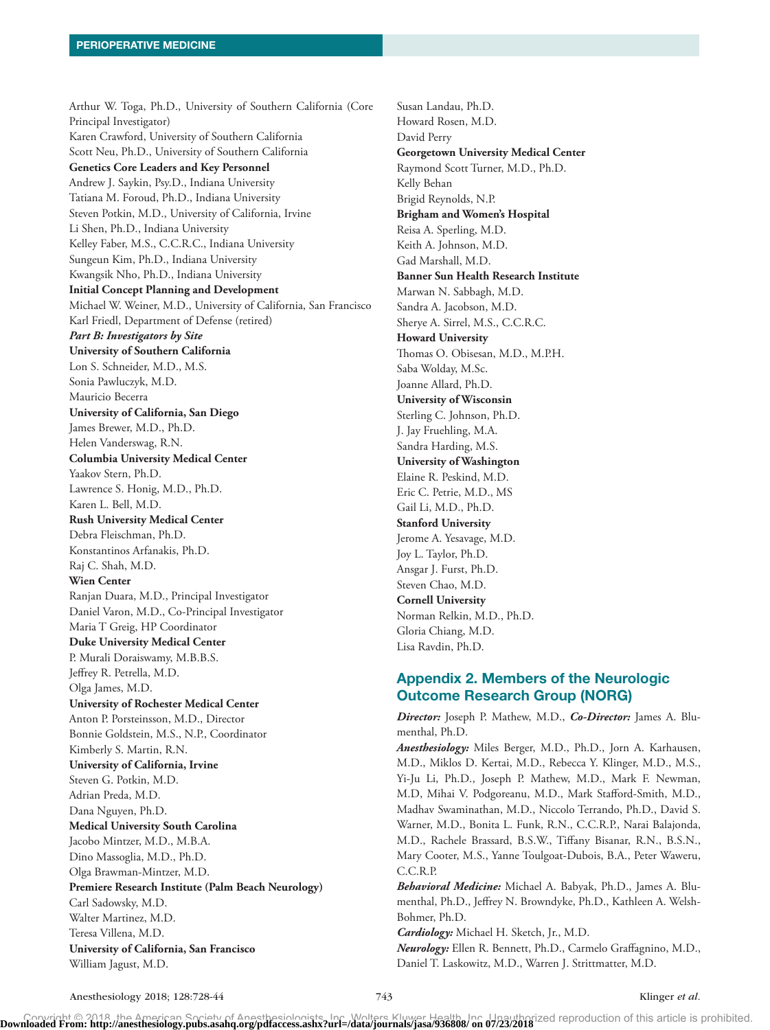Arthur W. Toga, Ph.D., University of Southern California (Core Principal Investigator) Karen Crawford, University of Southern California Scott Neu, Ph.D., University of Southern California **Genetics Core Leaders and Key Personnel** Andrew J. Saykin, Psy.D., Indiana University Tatiana M. Foroud, Ph.D., Indiana University Steven Potkin, M.D., University of California, Irvine Li Shen, Ph.D., Indiana University Kelley Faber, M.S., C.C.R.C., Indiana University Sungeun Kim, Ph.D., Indiana University Kwangsik Nho, Ph.D., Indiana University **Initial Concept Planning and Development** Michael W. Weiner, M.D., University of California, San Francisco Karl Friedl, Department of Defense (retired) *Part B: Investigators by Site* **University of Southern California** Lon S. Schneider, M.D., M.S. Sonia Pawluczyk, M.D. Mauricio Becerra **University of California, San Diego** James Brewer, M.D., Ph.D. Helen Vanderswag, R.N. **Columbia University Medical Center** Yaakov Stern, Ph.D. Lawrence S. Honig, M.D., Ph.D. Karen L. Bell, M.D. **Rush University Medical Center** Debra Fleischman, Ph.D. Konstantinos Arfanakis, Ph.D. Raj C. Shah, M.D. **Wien Center** Ranjan Duara, M.D., Principal Investigator Daniel Varon, M.D., Co-Principal Investigator Maria T Greig, HP Coordinator **Duke University Medical Center** P. Murali Doraiswamy, M.B.B.S. Jeffrey R. Petrella, M.D. Olga James, M.D. **University of Rochester Medical Center** Anton P. Porsteinsson, M.D., Director Bonnie Goldstein, M.S., N.P., Coordinator Kimberly S. Martin, R.N. **University of California, Irvine** Steven G. Potkin, M.D. Adrian Preda, M.D. Dana Nguyen, Ph.D. **Medical University South Carolina** Jacobo Mintzer, M.D., M.B.A. Dino Massoglia, M.D., Ph.D. Olga Brawman-Mintzer, M.D. **Premiere Research Institute (Palm Beach Neurology)** Carl Sadowsky, M.D. Walter Martinez, M.D. Teresa Villena, M.D. **University of California, San Francisco** William Jagust, M.D.

Susan Landau, Ph.D. Howard Rosen, M.D. David Perry **Georgetown University Medical Center** Raymond Scott Turner, M.D., Ph.D. Kelly Behan Brigid Reynolds, N.P. **Brigham and Women's Hospital** Reisa A. Sperling, M.D. Keith A. Johnson, M.D. Gad Marshall, M.D. **Banner Sun Health Research Institute** Marwan N. Sabbagh, M.D. Sandra A. Jacobson, M.D. Sherye A. Sirrel, M.S., C.C.R.C. **Howard University** Thomas O. Obisesan, M.D., M.P.H. Saba Wolday, M.Sc. Joanne Allard, Ph.D. **University of Wisconsin** Sterling C. Johnson, Ph.D. J. Jay Fruehling, M.A. Sandra Harding, M.S. **University of Washington** Elaine R. Peskind, M.D. Eric C. Petrie, M.D., MS Gail Li, M.D., Ph.D. **Stanford University** Jerome A. Yesavage, M.D. Joy L. Taylor, Ph.D. Ansgar J. Furst, Ph.D. Steven Chao, M.D. **Cornell University** Norman Relkin, M.D., Ph.D. Gloria Chiang, M.D. Lisa Ravdin, Ph.D.

# Appendix 2. Members of the Neurologic Outcome Research Group (NORG)

*Director:* Joseph P. Mathew, M.D., *Co-Director:* James A. Blumenthal, Ph.D.

*Anesthesiology:* Miles Berger, M.D., Ph.D., Jorn A. Karhausen, M.D., Miklos D. Kertai, M.D., Rebecca Y. Klinger, M.D., M.S., Yi-Ju Li, Ph.D., Joseph P. Mathew, M.D., Mark F. Newman, M.D, Mihai V. Podgoreanu, M.D., Mark Stafford-Smith, M.D., Madhav Swaminathan, M.D., Niccolo Terrando, Ph.D., David S. Warner, M.D., Bonita L. Funk, R.N., C.C.R.P., Narai Balajonda, M.D., Rachele Brassard, B.S.W., Tiffany Bisanar, R.N., B.S.N., Mary Cooter, M.S., Yanne Toulgoat-Dubois, B.A., Peter Waweru, C.C.R.P.

*Behavioral Medicine:* Michael A. Babyak, Ph.D., James A. Blumenthal, Ph.D., Jeffrey N. Browndyke, Ph.D., Kathleen A. Welsh-Bohmer, Ph.D.

*Cardiology:* Michael H. Sketch, Jr., M.D.

*Neurology:* Ellen R. Bennett, Ph.D., Carmelo Graffagnino, M.D., Daniel T. Laskowitz, M.D., Warren J. Strittmatter, M.D.